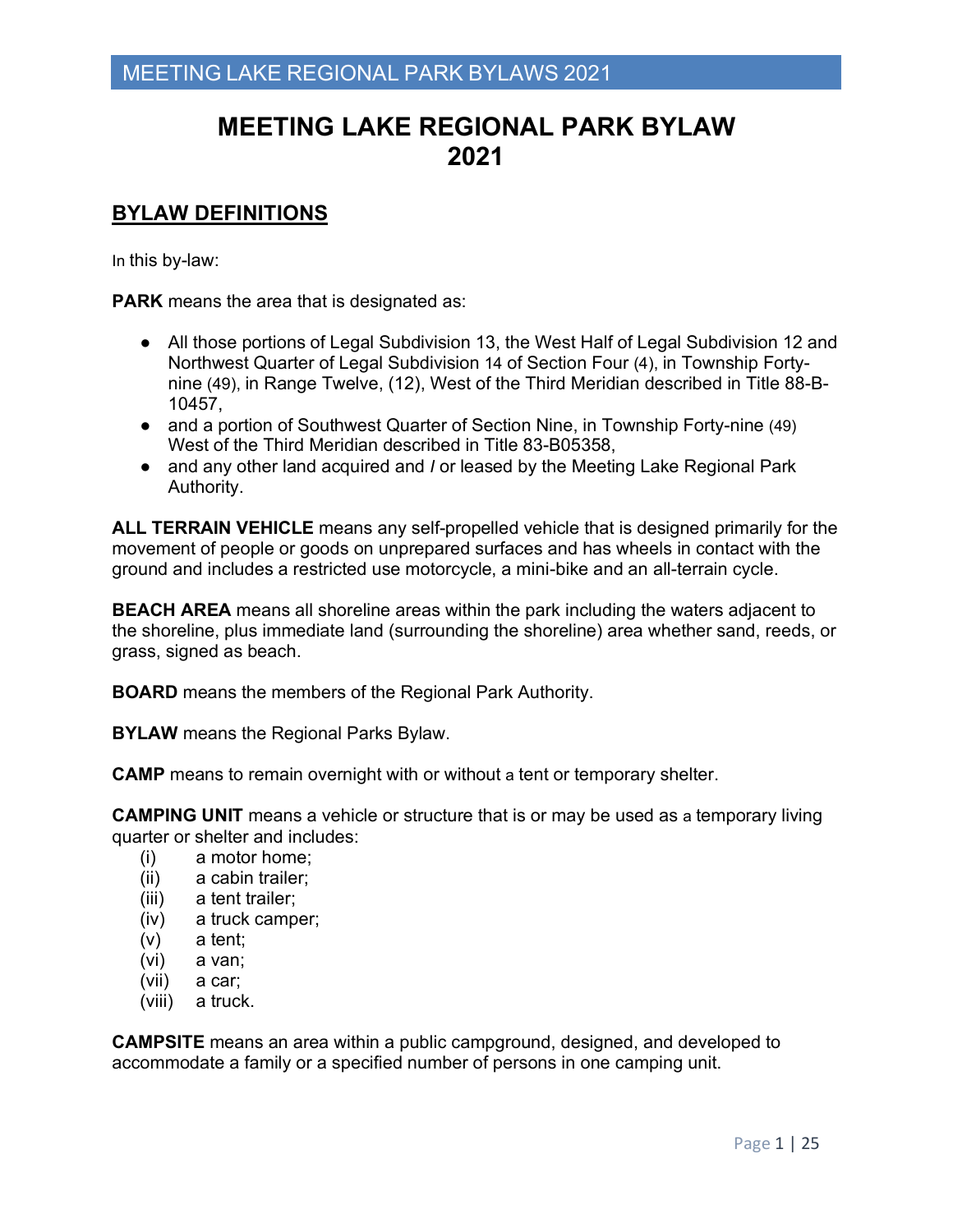## **BYLAW DEFINITIONS**

In this by-law:

**PARK** means the area that is designated as:

- All those portions of Legal Subdivision 13, the West Half of Legal Subdivision 12 and Northwest Quarter of Legal Subdivision 14 of Section Four (4), in Township Fortynine (49), in Range Twelve, (12), West of the Third Meridian described in Title 88-B-10457,
- and a portion of Southwest Quarter of Section Nine, in Township Forty-nine (49) West of the Third Meridian described in Title 83-B05358,
- and any other land acquired and *I* or leased by the Meeting Lake Regional Park Authority.

**ALL TERRAIN VEHICLE** means any self-propelled vehicle that is designed primarily for the movement of people or goods on unprepared surfaces and has wheels in contact with the ground and includes a restricted use motorcycle, a mini-bike and an all-terrain cycle.

**BEACH AREA** means all shoreline areas within the park including the waters adjacent to the shoreline, plus immediate land (surrounding the shoreline) area whether sand, reeds, or grass, signed as beach.

**BOARD** means the members of the Regional Park Authority.

**BYLAW** means the Regional Parks Bylaw.

**CAMP** means to remain overnight with or without a tent or temporary shelter.

**CAMPING UNIT** means a vehicle or structure that is or may be used as a temporary living quarter or shelter and includes:

- (i) a motor home;
- (ii) a cabin trailer;
- (iii) a tent trailer;
- (iv) a truck camper;
- (v) a tent;
- (vi) a van;
- (vii) a car;
- (viii) a truck.

**CAMPSITE** means an area within a public campground, designed, and developed to accommodate a family or a specified number of persons in one camping unit.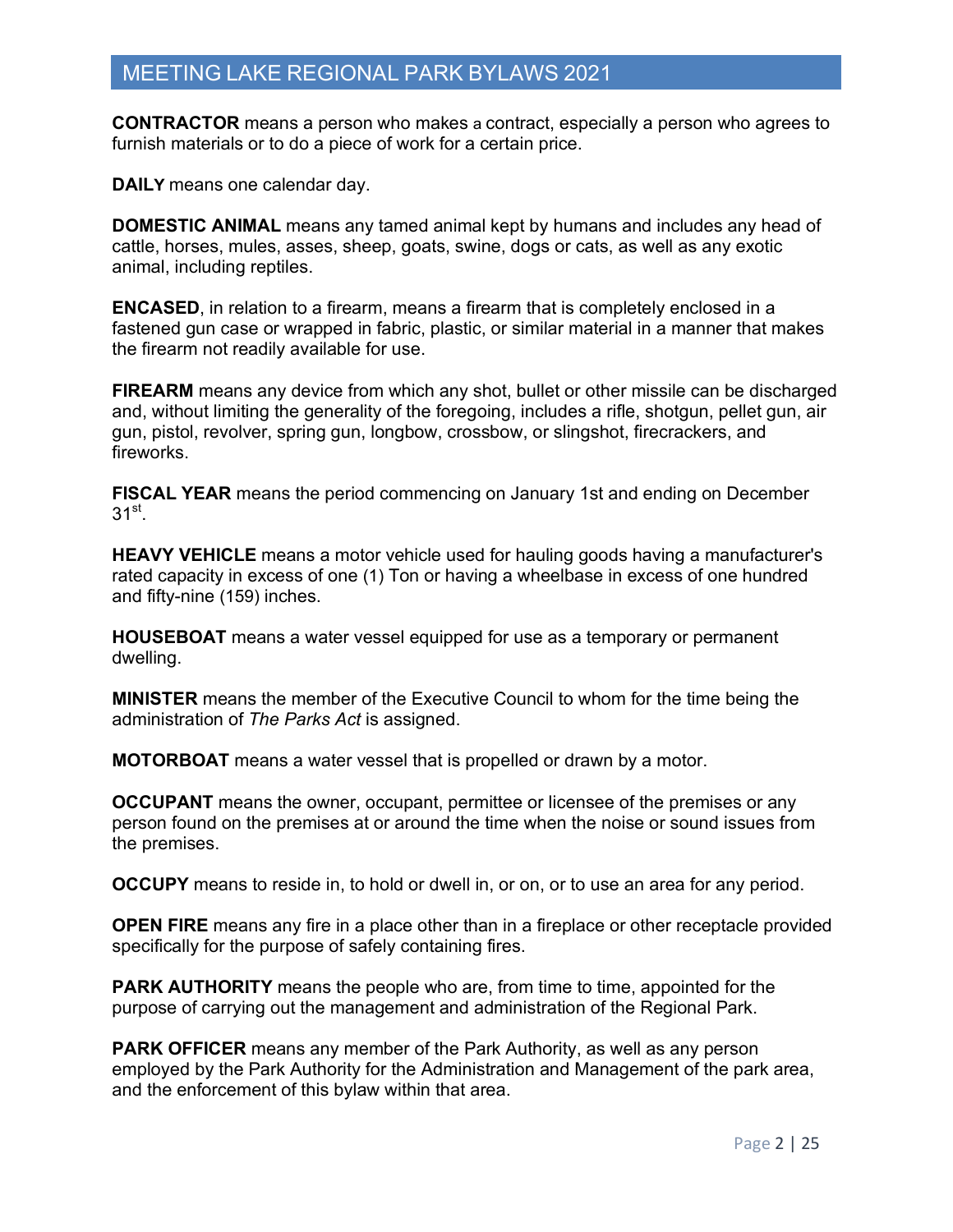**CONTRACTOR** means a person who makes a contract, especially a person who agrees to furnish materials or to do a piece of work for a certain price.

**DAILY** means one calendar day.

**DOMESTIC ANIMAL** means any tamed animal kept by humans and includes any head of cattle, horses, mules, asses, sheep, goats, swine, dogs or cats, as well as any exotic animal, including reptiles.

**ENCASED**, in relation to a firearm, means a firearm that is completely enclosed in a fastened gun case or wrapped in fabric, plastic, or similar material in a manner that makes the firearm not readily available for use.

**FIREARM** means any device from which any shot, bullet or other missile can be discharged and, without limiting the generality of the foregoing, includes a rifle, shotgun, pellet gun, air gun, pistol, revolver, spring gun, longbow, crossbow, or slingshot, firecrackers, and fireworks.

**FISCAL YEAR** means the period commencing on January 1st and ending on December  $31<sup>st</sup>$ .

**HEAVY VEHICLE** means a motor vehicle used for hauling goods having a manufacturer's rated capacity in excess of one (1) Ton or having a wheelbase in excess of one hundred and fifty-nine (159) inches.

**HOUSEBOAT** means a water vessel equipped for use as a temporary or permanent dwelling.

**MINISTER** means the member of the Executive Council to whom for the time being the administration of *The Parks Act* is assigned.

**MOTORBOAT** means a water vessel that is propelled or drawn by a motor.

**OCCUPANT** means the owner, occupant, permittee or licensee of the premises or any person found on the premises at or around the time when the noise or sound issues from the premises.

**OCCUPY** means to reside in, to hold or dwell in, or on, or to use an area for any period.

**OPEN FIRE** means any fire in a place other than in a fireplace or other receptacle provided specifically for the purpose of safely containing fires.

**PARK AUTHORITY** means the people who are, from time to time, appointed for the purpose of carrying out the management and administration of the Regional Park.

**PARK OFFICER** means any member of the Park Authority, as well as any person employed by the Park Authority for the Administration and Management of the park area, and the enforcement of this bylaw within that area.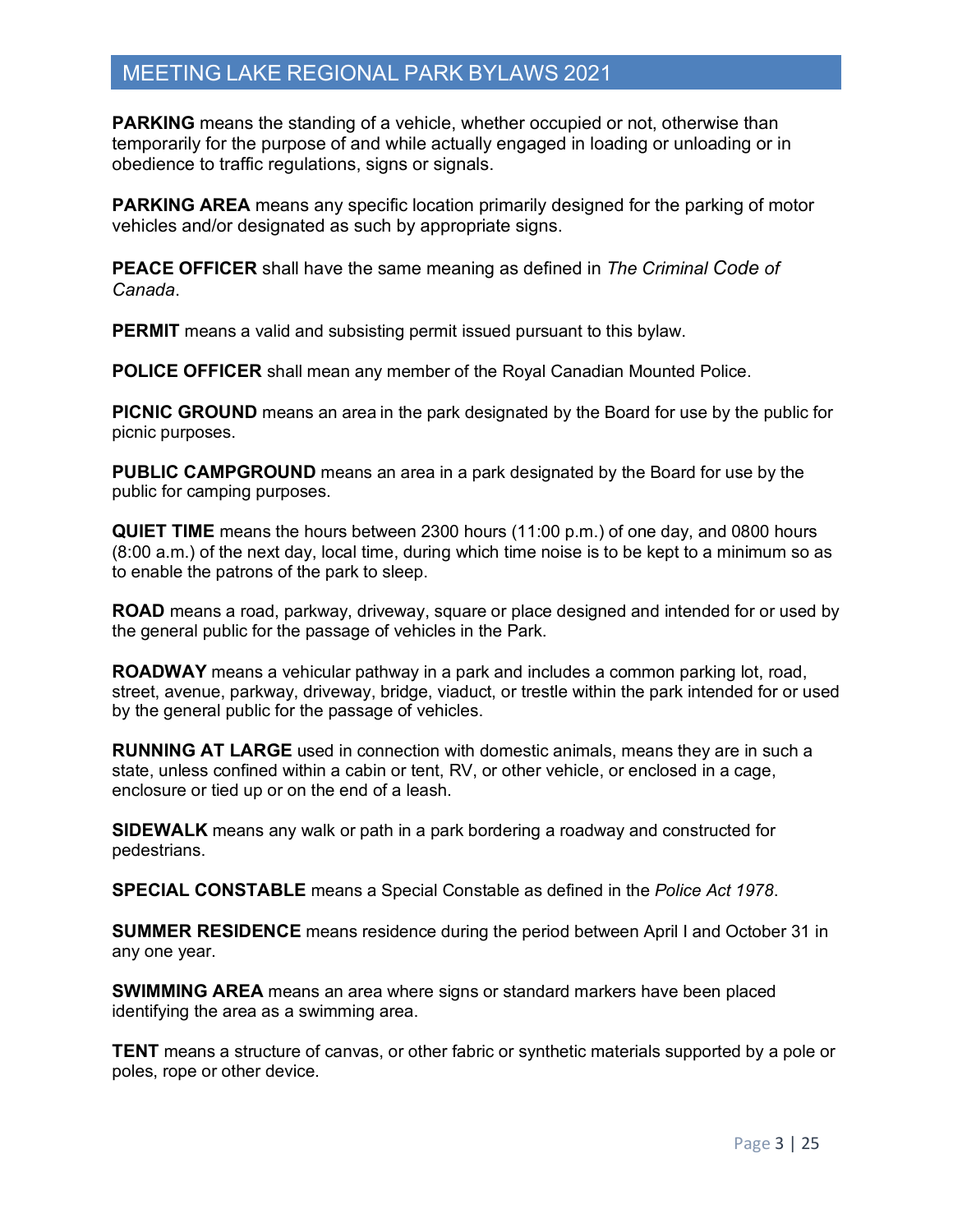**PARKING** means the standing of a vehicle, whether occupied or not, otherwise than temporarily for the purpose of and while actually engaged in loading or unloading or in obedience to traffic regulations, signs or signals.

**PARKING AREA** means any specific location primarily designed for the parking of motor vehicles and/or designated as such by appropriate signs.

**PEACE OFFICER** shall have the same meaning as defined in *The Criminal Code of Canada*.

**PERMIT** means a valid and subsisting permit issued pursuant to this bylaw.

**POLICE OFFICER** shall mean any member of the Royal Canadian Mounted Police.

**PICNIC GROUND** means an area in the park designated by the Board for use by the public for picnic purposes.

**PUBLIC CAMPGROUND** means an area in a park designated by the Board for use by the public for camping purposes.

**QUIET TIME** means the hours between 2300 hours (11:00 p.m.) of one day, and 0800 hours (8:00 a.m.) of the next day, local time, during which time noise is to be kept to a minimum so as to enable the patrons of the park to sleep.

**ROAD** means a road, parkway, driveway, square or place designed and intended for or used by the general public for the passage of vehicles in the Park.

**ROADWAY** means a vehicular pathway in a park and includes a common parking lot, road, street, avenue, parkway, driveway, bridge, viaduct, or trestle within the park intended for or used by the general public for the passage of vehicles.

**RUNNING AT LARGE** used in connection with domestic animals, means they are in such a state, unless confined within a cabin or tent, RV, or other vehicle, or enclosed in a cage, enclosure or tied up or on the end of a leash.

**SIDEWALK** means any walk or path in a park bordering a roadway and constructed for pedestrians.

**SPECIAL CONSTABLE** means a Special Constable as defined in the *Police Act 1978*.

**SUMMER RESIDENCE** means residence during the period between April I and October 31 in any one year.

**SWIMMING AREA** means an area where signs or standard markers have been placed identifying the area as a swimming area.

**TENT** means a structure of canvas, or other fabric or synthetic materials supported by a pole or poles, rope or other device.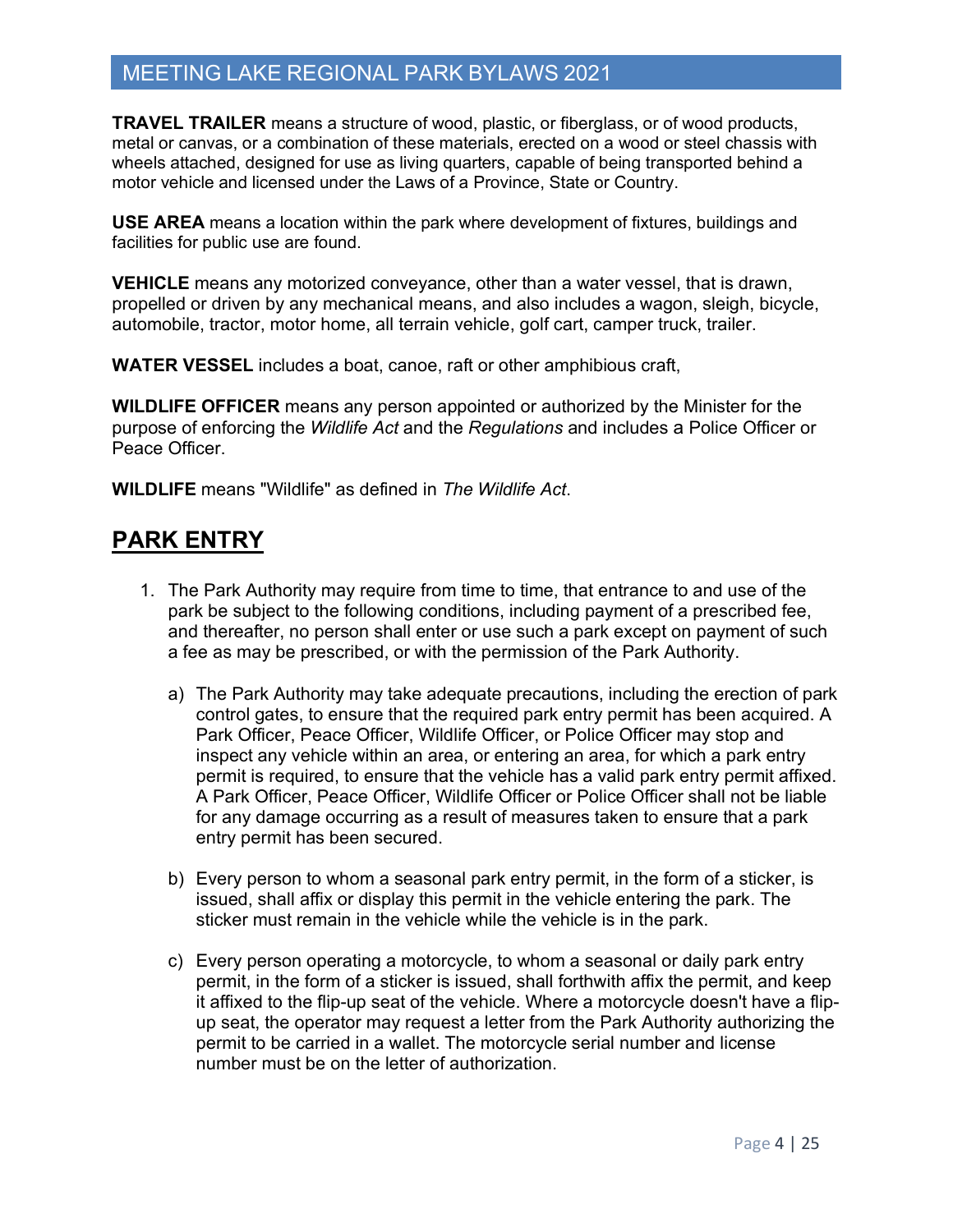**TRAVEL TRAILER** means a structure of wood, plastic, or fiberglass, or of wood products, metal or canvas, or a combination of these materials, erected on a wood or steel chassis with wheels attached, designed for use as living quarters, capable of being transported behind a motor vehicle and licensed under the Laws of a Province, State or Country.

**USE AREA** means a location within the park where development of fixtures, buildings and facilities for public use are found.

**VEHICLE** means any motorized conveyance, other than a water vessel, that is drawn, propelled or driven by any mechanical means, and also includes a wagon, sleigh, bicycle, automobile, tractor, motor home, all terrain vehicle, golf cart, camper truck, trailer.

**WATER VESSEL** includes a boat, canoe, raft or other amphibious craft,

**WILDLIFE OFFICER** means any person appointed or authorized by the Minister for the purpose of enforcing the *Wildlife Act* and the *Regulations* and includes a Police Officer or Peace Officer.

**WILDLIFE** means "Wildlife" as defined in *The Wildlife Act*.

# **PARK ENTRY**

- 1. The Park Authority may require from time to time, that entrance to and use of the park be subject to the following conditions, including payment of a prescribed fee, and thereafter, no person shall enter or use such a park except on payment of such a fee as may be prescribed, or with the permission of the Park Authority.
	- a) The Park Authority may take adequate precautions, including the erection of park control gates, to ensure that the required park entry permit has been acquired. A Park Officer, Peace Officer, Wildlife Officer, or Police Officer may stop and inspect any vehicle within an area, or entering an area, for which a park entry permit is required, to ensure that the vehicle has a valid park entry permit affixed. A Park Officer, Peace Officer, Wildlife Officer or Police Officer shall not be liable for any damage occurring as a result of measures taken to ensure that a park entry permit has been secured.
	- b) Every person to whom a seasonal park entry permit, in the form of a sticker, is issued, shall affix or display this permit in the vehicle entering the park. The sticker must remain in the vehicle while the vehicle is in the park.
	- c) Every person operating a motorcycle, to whom a seasonal or daily park entry permit, in the form of a sticker is issued, shall forthwith affix the permit, and keep it affixed to the flip-up seat of the vehicle. Where a motorcycle doesn't have a flipup seat, the operator may request a letter from the Park Authority authorizing the permit to be carried in a wallet. The motorcycle serial number and license number must be on the letter of authorization.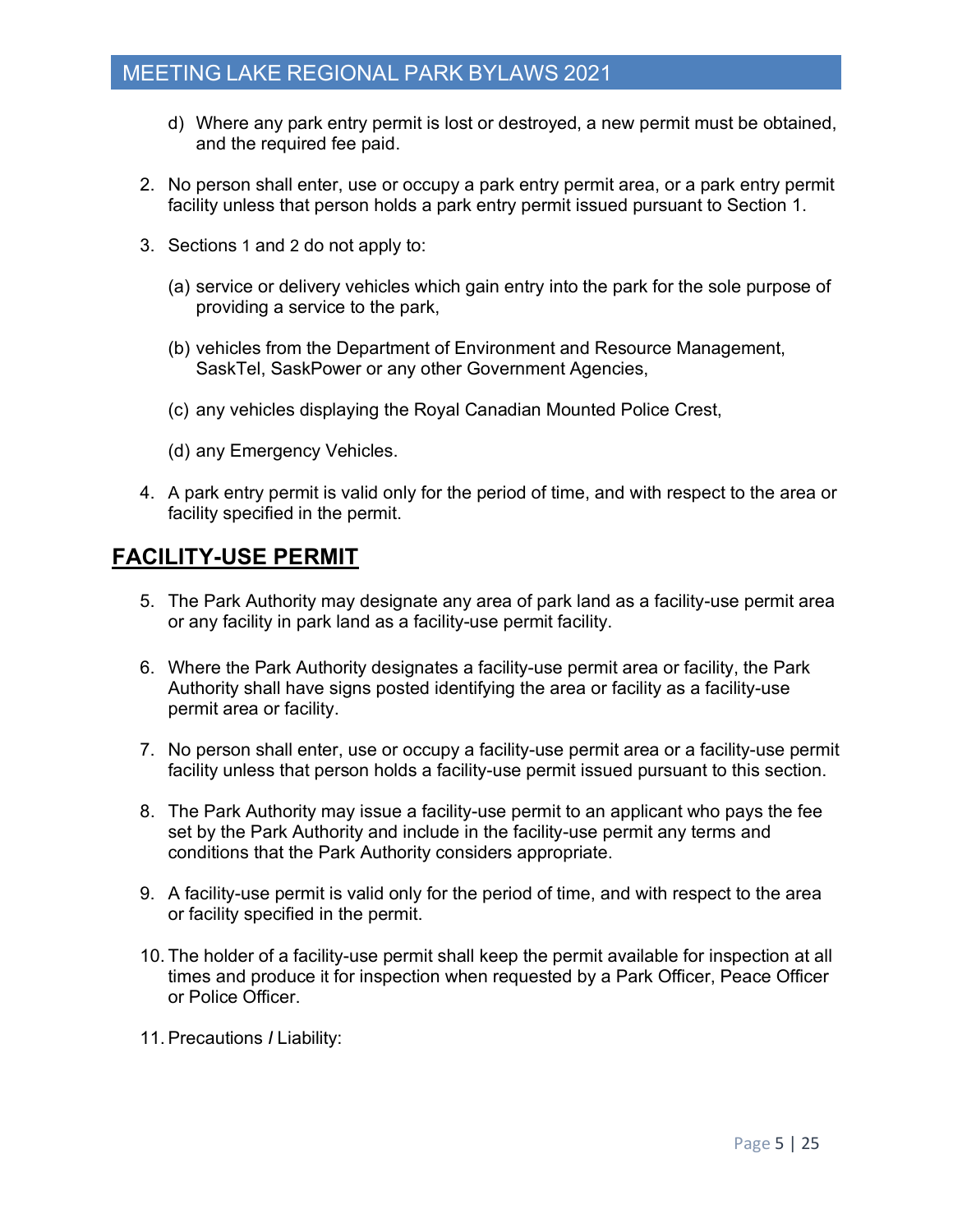- d) Where any park entry permit is lost or destroyed, a new permit must be obtained, and the required fee paid.
- 2. No person shall enter, use or occupy a park entry permit area, or a park entry permit facility unless that person holds a park entry permit issued pursuant to Section 1.
- 3. Sections 1 and 2 do not apply to:
	- (a) service or delivery vehicles which gain entry into the park for the sole purpose of providing a service to the park,
	- (b) vehicles from the Department of Environment and Resource Management, SaskTel, SaskPower or any other Government Agencies,
	- (c) any vehicles displaying the Royal Canadian Mounted Police Crest,
	- (d) any Emergency Vehicles.
- 4. A park entry permit is valid only for the period of time, and with respect to the area or facility specified in the permit.

## **FACILITY-USE PERMIT**

- 5. The Park Authority may designate any area of park land as a facility-use permit area or any facility in park land as a facility-use permit facility.
- 6. Where the Park Authority designates a facility-use permit area or facility, the Park Authority shall have signs posted identifying the area or facility as a facility-use permit area or facility.
- 7. No person shall enter, use or occupy a facility-use permit area or a facility-use permit facility unless that person holds a facility-use permit issued pursuant to this section.
- 8. The Park Authority may issue a facility-use permit to an applicant who pays the fee set by the Park Authority and include in the facility-use permit any terms and conditions that the Park Authority considers appropriate.
- 9. A facility-use permit is valid only for the period of time, and with respect to the area or facility specified in the permit.
- 10. The holder of a facility-use permit shall keep the permit available for inspection at all times and produce it for inspection when requested by a Park Officer, Peace Officer or Police Officer.
- 11.Precautions *I* Liability: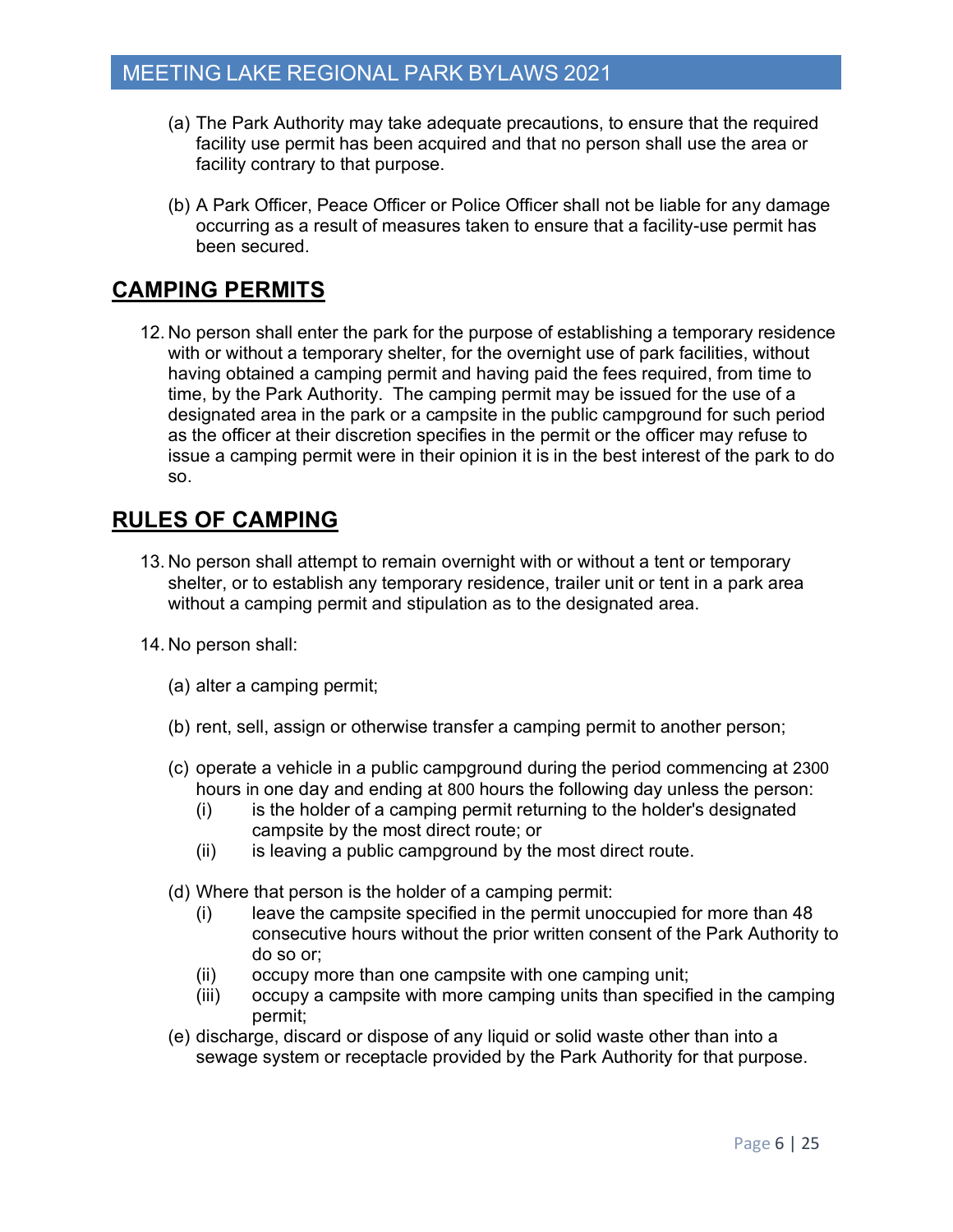- (a) The Park Authority may take adequate precautions, to ensure that the required facility use permit has been acquired and that no person shall use the area or facility contrary to that purpose.
- (b) A Park Officer, Peace Officer or Police Officer shall not be liable for any damage occurring as a result of measures taken to ensure that a facility-use permit has been secured.

## **CAMPING PERMITS**

12. No person shall enter the park for the purpose of establishing a temporary residence with or without a temporary shelter, for the overnight use of park facilities, without having obtained a camping permit and having paid the fees required, from time to time, by the Park Authority. The camping permit may be issued for the use of a designated area in the park or a campsite in the public campground for such period as the officer at their discretion specifies in the permit or the officer may refuse to issue a camping permit were in their opinion it is in the best interest of the park to do so.

## **RULES OF CAMPING**

- 13. No person shall attempt to remain overnight with or without a tent or temporary shelter, or to establish any temporary residence, trailer unit or tent in a park area without a camping permit and stipulation as to the designated area.
- 14. No person shall:
	- (a) alter a camping permit;
	- (b) rent, sell, assign or otherwise transfer a camping permit to another person;
	- (c) operate a vehicle in a public campground during the period commencing at 2300 hours in one day and ending at 800 hours the following day unless the person:
		- (i) is the holder of a camping permit returning to the holder's designated campsite by the most direct route; or
		- (ii) is leaving a public campground by the most direct route.
	- (d) Where that person is the holder of a camping permit:
		- (i) leave the campsite specified in the permit unoccupied for more than 48 consecutive hours without the prior written consent of the Park Authority to do so or;
		- (ii) occupy more than one campsite with one camping unit;
		- (iii) occupy a campsite with more camping units than specified in the camping permit;
	- (e) discharge, discard or dispose of any liquid or solid waste other than into a sewage system or receptacle provided by the Park Authority for that purpose.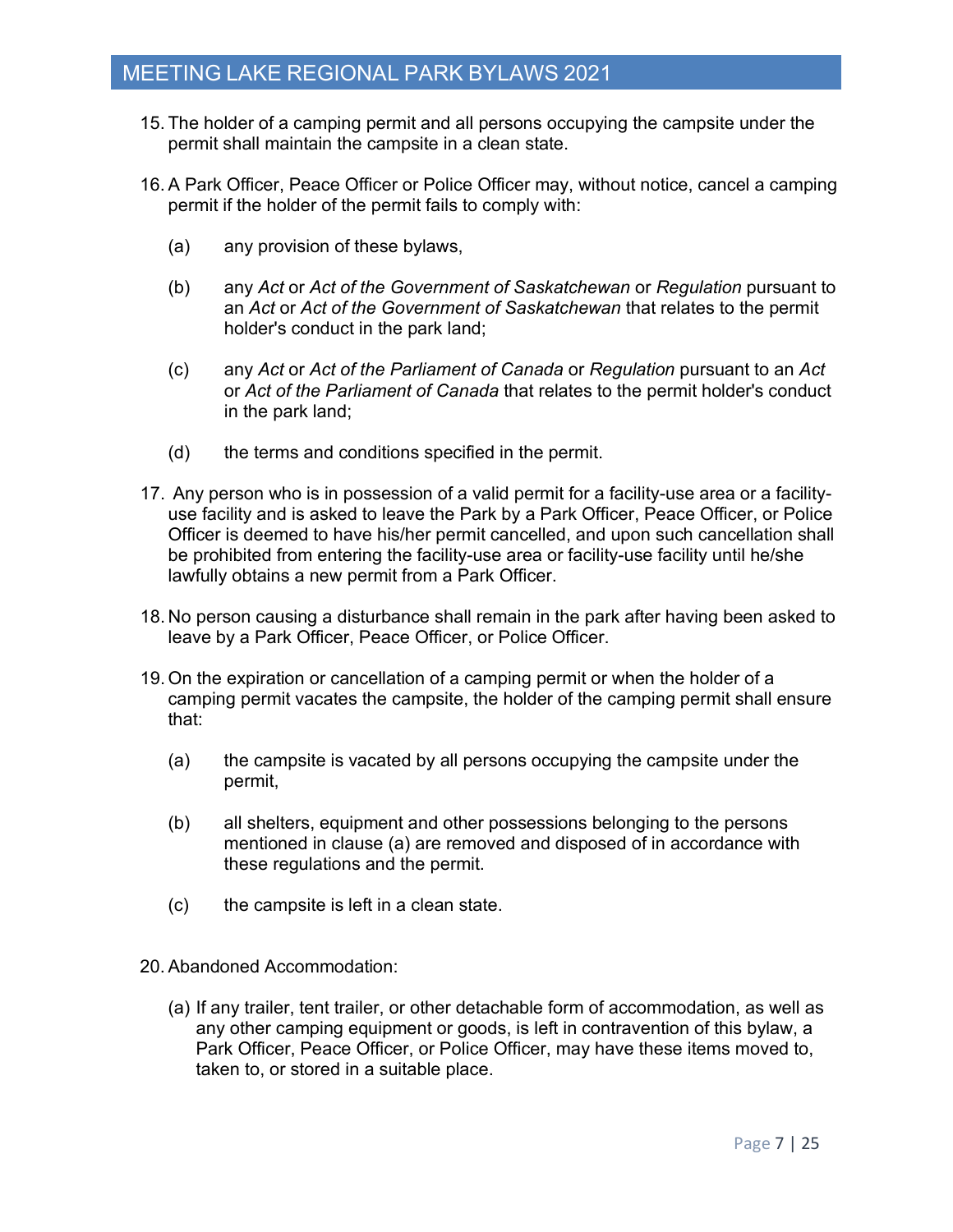- 15. The holder of a camping permit and all persons occupying the campsite under the permit shall maintain the campsite in a clean state.
- 16.A Park Officer, Peace Officer or Police Officer may, without notice, cancel a camping permit if the holder of the permit fails to comply with:
	- (a) any provision of these bylaws,
	- (b) any *Act* or *Act of the Government of Saskatchewan* or *Regulation* pursuant to an *Act* or *Act of the Government of Saskatchewan* that relates to the permit holder's conduct in the park land;
	- (c) any *Act* or *Act of the Parliament of Canada* or *Regulation* pursuant to an *Act* or *Act of the Parliament of Canada* that relates to the permit holder's conduct in the park land;
	- (d) the terms and conditions specified in the permit.
- 17. Any person who is in possession of a valid permit for a facility-use area or a facilityuse facility and is asked to leave the Park by a Park Officer, Peace Officer, or Police Officer is deemed to have his/her permit cancelled, and upon such cancellation shall be prohibited from entering the facility-use area or facility-use facility until he/she lawfully obtains a new permit from a Park Officer.
- 18. No person causing a disturbance shall remain in the park after having been asked to leave by a Park Officer, Peace Officer, or Police Officer.
- 19. On the expiration or cancellation of a camping permit or when the holder of a camping permit vacates the campsite, the holder of the camping permit shall ensure that:
	- (a) the campsite is vacated by all persons occupying the campsite under the permit,
	- (b) all shelters, equipment and other possessions belonging to the persons mentioned in clause (a) are removed and disposed of in accordance with these regulations and the permit.
	- (c) the campsite is left in a clean state.
- 20.Abandoned Accommodation:
	- (a) If any trailer, tent trailer, or other detachable form of accommodation, as well as any other camping equipment or goods, is left in contravention of this bylaw, a Park Officer, Peace Officer, or Police Officer, may have these items moved to, taken to, or stored in a suitable place.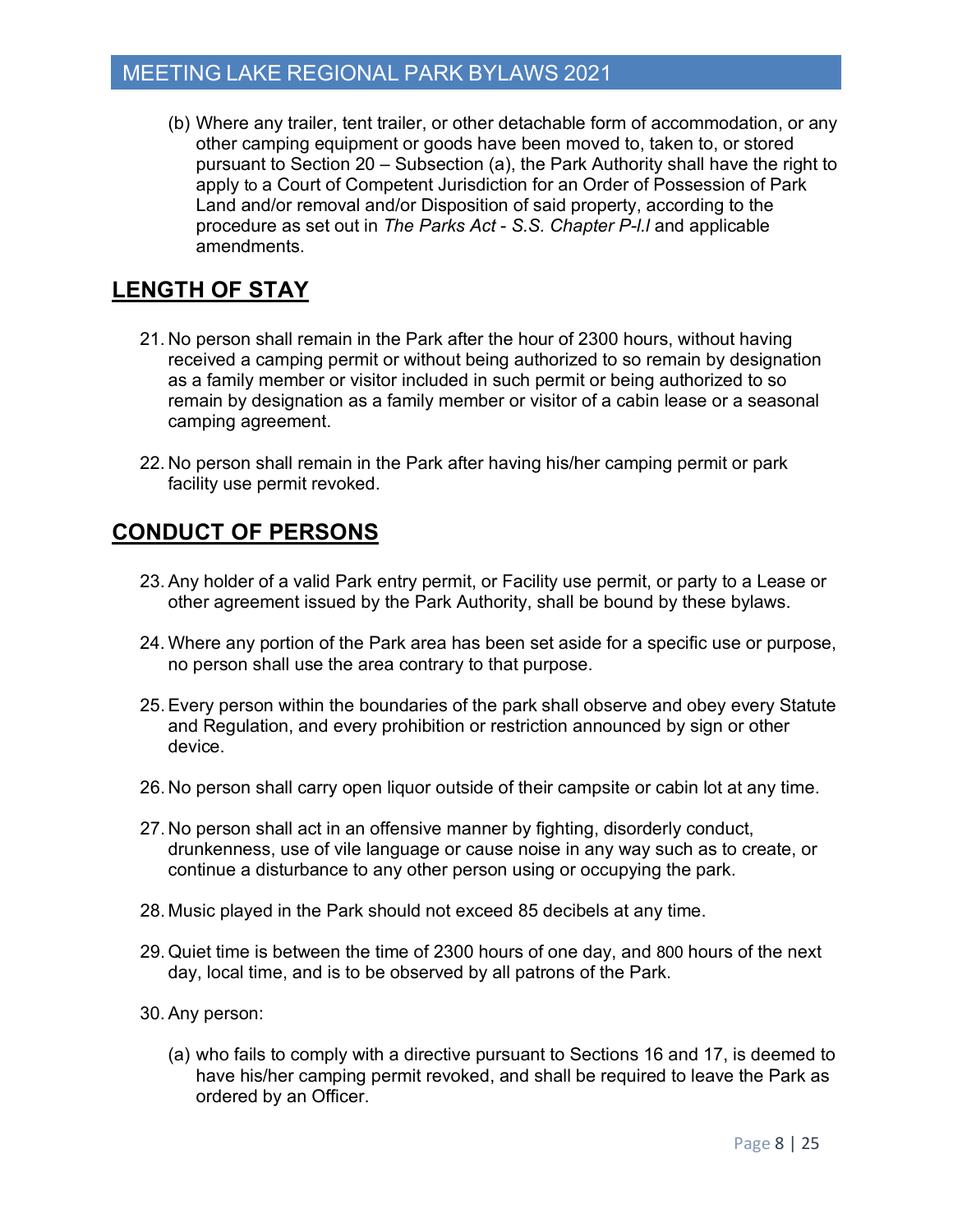(b) Where any trailer, tent trailer, or other detachable form of accommodation, or any other camping equipment or goods have been moved to, taken to, or stored pursuant to Section 20 – Subsection (a), the Park Authority shall have the right to apply to a Court of Competent Jurisdiction for an Order of Possession of Park Land and/or removal and/or Disposition of said property, according to the procedure as set out in *The Parks Act* - *S.S. Chapter P-l.l* and applicable amendments.

## **LENGTH OF STAY**

- 21. No person shall remain in the Park after the hour of 2300 hours, without having received a camping permit or without being authorized to so remain by designation as a family member or visitor included in such permit or being authorized to so remain by designation as a family member or visitor of a cabin lease or a seasonal camping agreement.
- 22. No person shall remain in the Park after having his/her camping permit or park facility use permit revoked.

## **CONDUCT OF PERSONS**

- 23.Any holder of a valid Park entry permit, or Facility use permit, or party to a Lease or other agreement issued by the Park Authority, shall be bound by these bylaws.
- 24. Where any portion of the Park area has been set aside for a specific use or purpose, no person shall use the area contrary to that purpose.
- 25.Every person within the boundaries of the park shall observe and obey every Statute and Regulation, and every prohibition or restriction announced by sign or other device.
- 26. No person shall carry open liquor outside of their campsite or cabin lot at any time.
- 27. No person shall act in an offensive manner by fighting, disorderly conduct, drunkenness, use of vile language or cause noise in any way such as to create, or continue a disturbance to any other person using or occupying the park.
- 28. Music played in the Park should not exceed 85 decibels at any time.
- 29. Quiet time is between the time of 2300 hours of one day, and 800 hours of the next day, local time, and is to be observed by all patrons of the Park.
- 30. Any person:
	- (a) who fails to comply with a directive pursuant to Sections 16 and 17, is deemed to have his/her camping permit revoked, and shall be required to leave the Park as ordered by an Officer.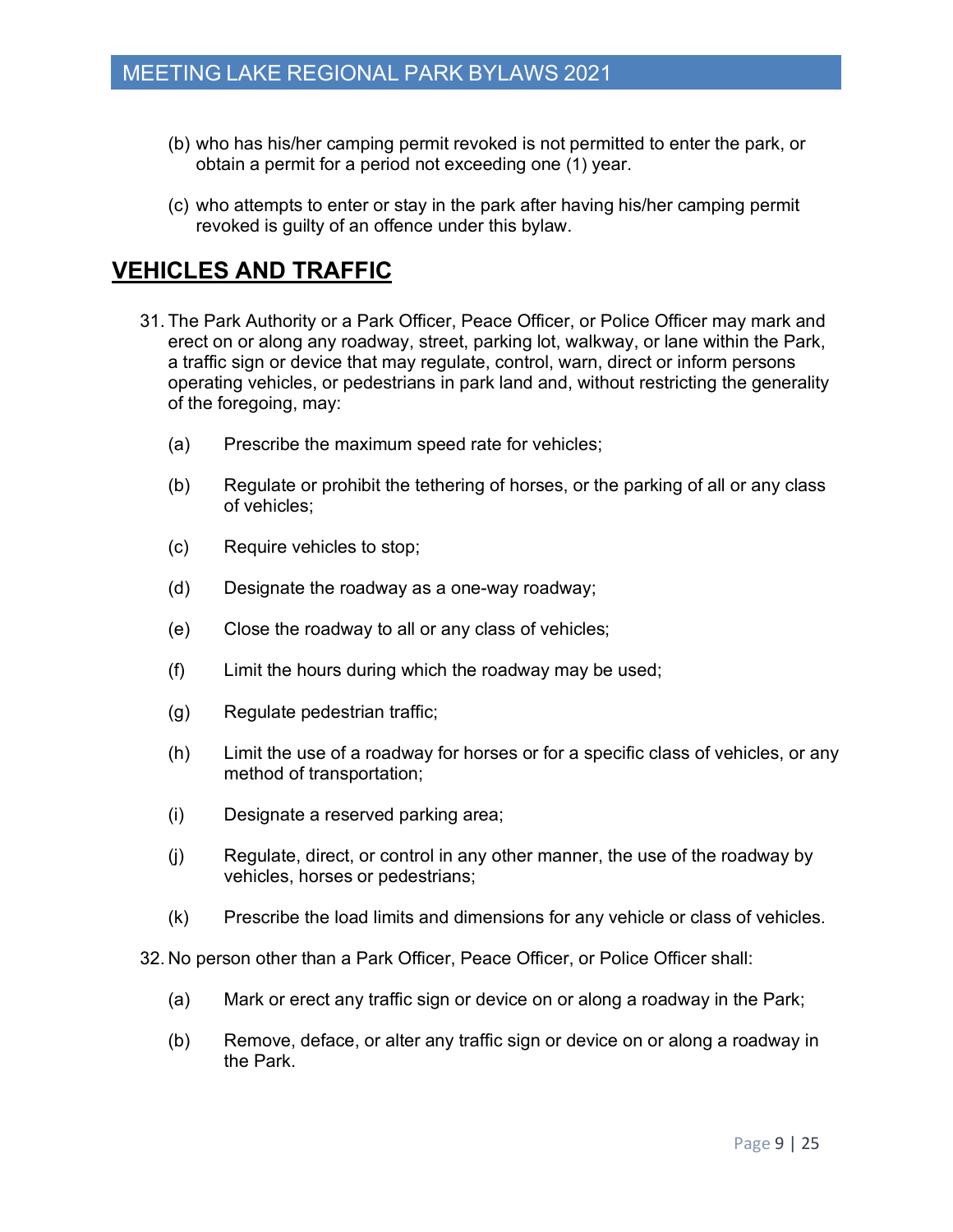- (b) who has his/her camping permit revoked is not permitted to enter the park, or obtain a permit for a period not exceeding one (1) year.
- (c) who attempts to enter or stay in the park after having his/her camping permit revoked is guilty of an offence under this bylaw.

## **VEHICLES AND TRAFFIC**

- 31. The Park Authority or a Park Officer, Peace Officer, or Police Officer may mark and erect on or along any roadway, street, parking lot, walkway, or lane within the Park, a traffic sign or device that may regulate, control, warn, direct or inform persons operating vehicles, or pedestrians in park land and, without restricting the generality of the foregoing, may:
	- (a) Prescribe the maximum speed rate for vehicles;
	- (b) Regulate or prohibit the tethering of horses, or the parking of all or any class of vehicles;
	- (c) Require vehicles to stop;
	- (d) Designate the roadway as a one-way roadway;
	- (e) Close the roadway to all or any class of vehicles;
	- (f) Limit the hours during which the roadway may be used;
	- (g) Regulate pedestrian traffic;
	- (h) Limit the use of a roadway for horses or for a specific class of vehicles, or any method of transportation;
	- (i) Designate a reserved parking area;
	- (j) Regulate, direct, or control in any other manner, the use of the roadway by vehicles, horses or pedestrians;
	- (k) Prescribe the load limits and dimensions for any vehicle or class of vehicles.

32. No person other than a Park Officer, Peace Officer, or Police Officer shall:

- (a) Mark or erect any traffic sign or device on or along a roadway in the Park;
- (b) Remove, deface, or alter any traffic sign or device on or along a roadway in the Park.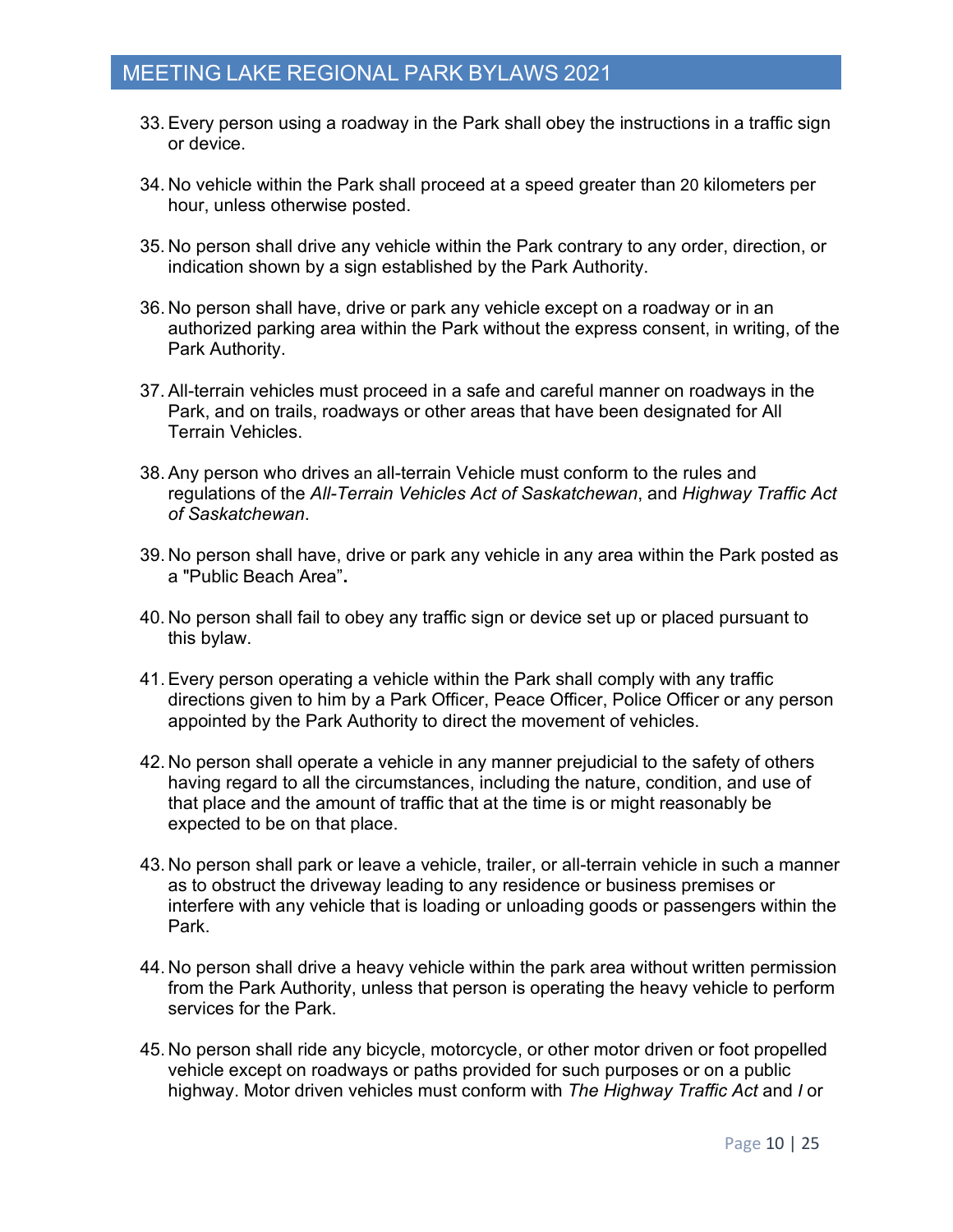- 33.Every person using a roadway in the Park shall obey the instructions in a traffic sign or device.
- 34. No vehicle within the Park shall proceed at a speed greater than 20 kilometers per hour, unless otherwise posted.
- 35. No person shall drive any vehicle within the Park contrary to any order, direction, or indication shown by a sign established by the Park Authority.
- 36. No person shall have, drive or park any vehicle except on a roadway or in an authorized parking area within the Park without the express consent, in writing, of the Park Authority.
- 37.All-terrain vehicles must proceed in a safe and careful manner on roadways in the Park, and on trails, roadways or other areas that have been designated for All Terrain Vehicles.
- 38.Any person who drives an all-terrain Vehicle must conform to the rules and regulations of the *All-Terrain Vehicles Act of Saskatchewan*, and *Highway Traffic Act of Saskatchewan*.
- 39. No person shall have, drive or park any vehicle in any area within the Park posted as a "Public Beach Area"**.**
- 40. No person shall fail to obey any traffic sign or device set up or placed pursuant to this bylaw.
- 41.Every person operating a vehicle within the Park shall comply with any traffic directions given to him by a Park Officer, Peace Officer, Police Officer or any person appointed by the Park Authority to direct the movement of vehicles.
- 42. No person shall operate a vehicle in any manner prejudicial to the safety of others having regard to all the circumstances, including the nature, condition, and use of that place and the amount of traffic that at the time is or might reasonably be expected to be on that place.
- 43. No person shall park or leave a vehicle, trailer, or all-terrain vehicle in such a manner as to obstruct the driveway leading to any residence or business premises or interfere with any vehicle that is loading or unloading goods or passengers within the Park.
- 44. No person shall drive a heavy vehicle within the park area without written permission from the Park Authority, unless that person is operating the heavy vehicle to perform services for the Park.
- 45. No person shall ride any bicycle, motorcycle, or other motor driven or foot propelled vehicle except on roadways or paths provided for such purposes or on a public highway. Motor driven vehicles must conform with *The Highway Traffic Act* and *I* or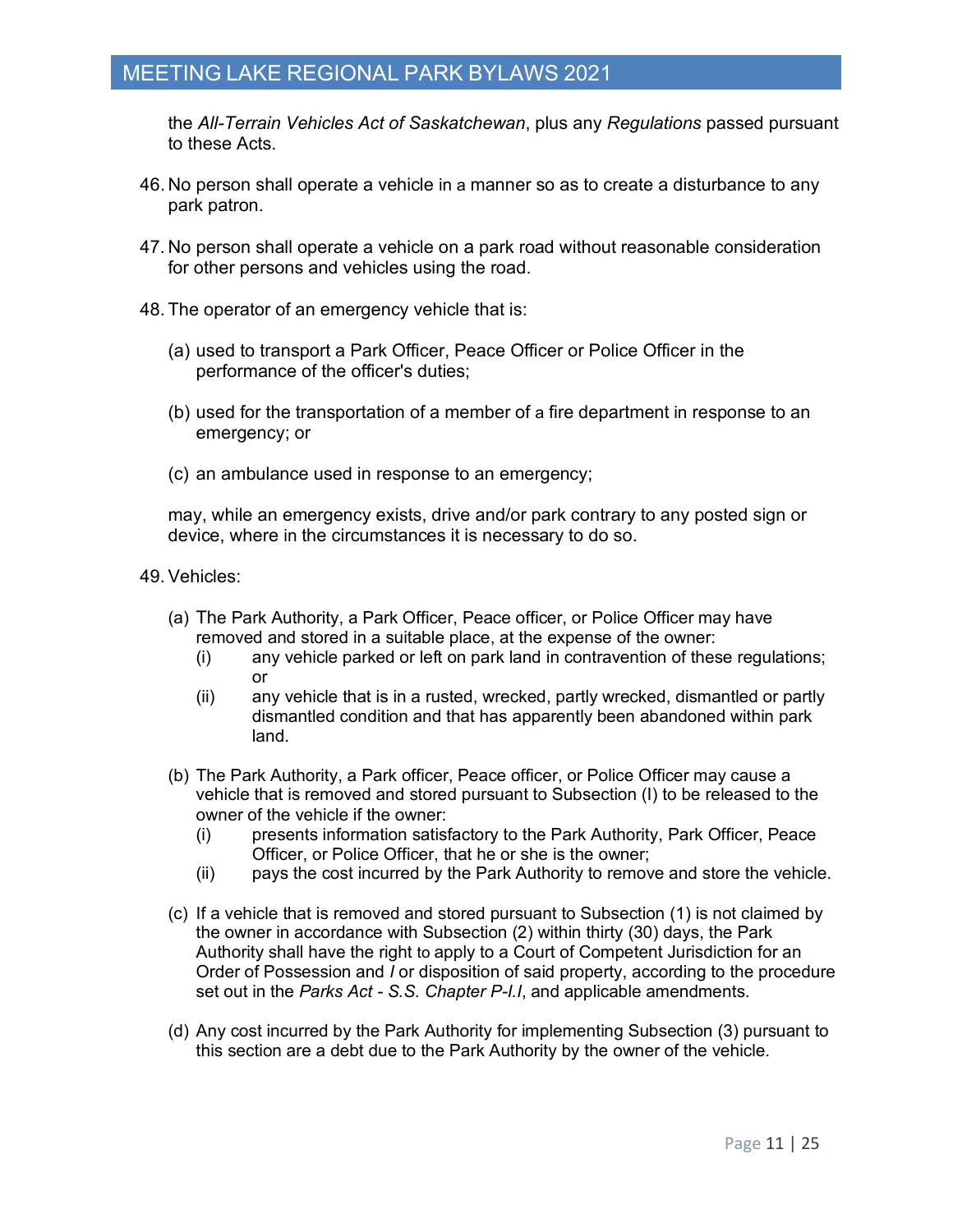the *All-Terrain Vehicles Act of Saskatchewan*, plus any *Regulations* passed pursuant to these Acts.

- 46. No person shall operate a vehicle in a manner so as to create a disturbance to any park patron.
- 47. No person shall operate a vehicle on a park road without reasonable consideration for other persons and vehicles using the road.
- 48. The operator of an emergency vehicle that is:
	- (a) used to transport a Park Officer, Peace Officer or Police Officer in the performance of the officer's duties;
	- (b) used for the transportation of a member of a fire department in response to an emergency; or
	- (c) an ambulance used in response to an emergency;

may, while an emergency exists, drive and/or park contrary to any posted sign or device, where in the circumstances it is necessary to do so.

- 49.Vehicles:
	- (a) The Park Authority, a Park Officer, Peace officer, or Police Officer may have removed and stored in a suitable place, at the expense of the owner:
		- (i) any vehicle parked or left on park land in contravention of these regulations; or
		- (ii) any vehicle that is in a rusted, wrecked, partly wrecked, dismantled or partly dismantled condition and that has apparently been abandoned within park land.
	- (b) The Park Authority, a Park officer, Peace officer, or Police Officer may cause a vehicle that is removed and stored pursuant to Subsection (I) to be released to the owner of the vehicle if the owner:
		- (i) presents information satisfactory to the Park Authority, Park Officer, Peace Officer, or Police Officer, that he or she is the owner;
		- (ii) pays the cost incurred by the Park Authority to remove and store the vehicle.
	- (c) If a vehicle that is removed and stored pursuant to Subsection (1) is not claimed by the owner in accordance with Subsection (2) within thirty (30) days, the Park Authority shall have the right to apply to a Court of Competent Jurisdiction for an Order of Possession and *I* or disposition of said property, according to the procedure set out in the *Parks Act - S.S. Chapter P-I.I*, and applicable amendments.
	- (d) Any cost incurred by the Park Authority for implementing Subsection (3) pursuant to this section are a debt due to the Park Authority by the owner of the vehicle.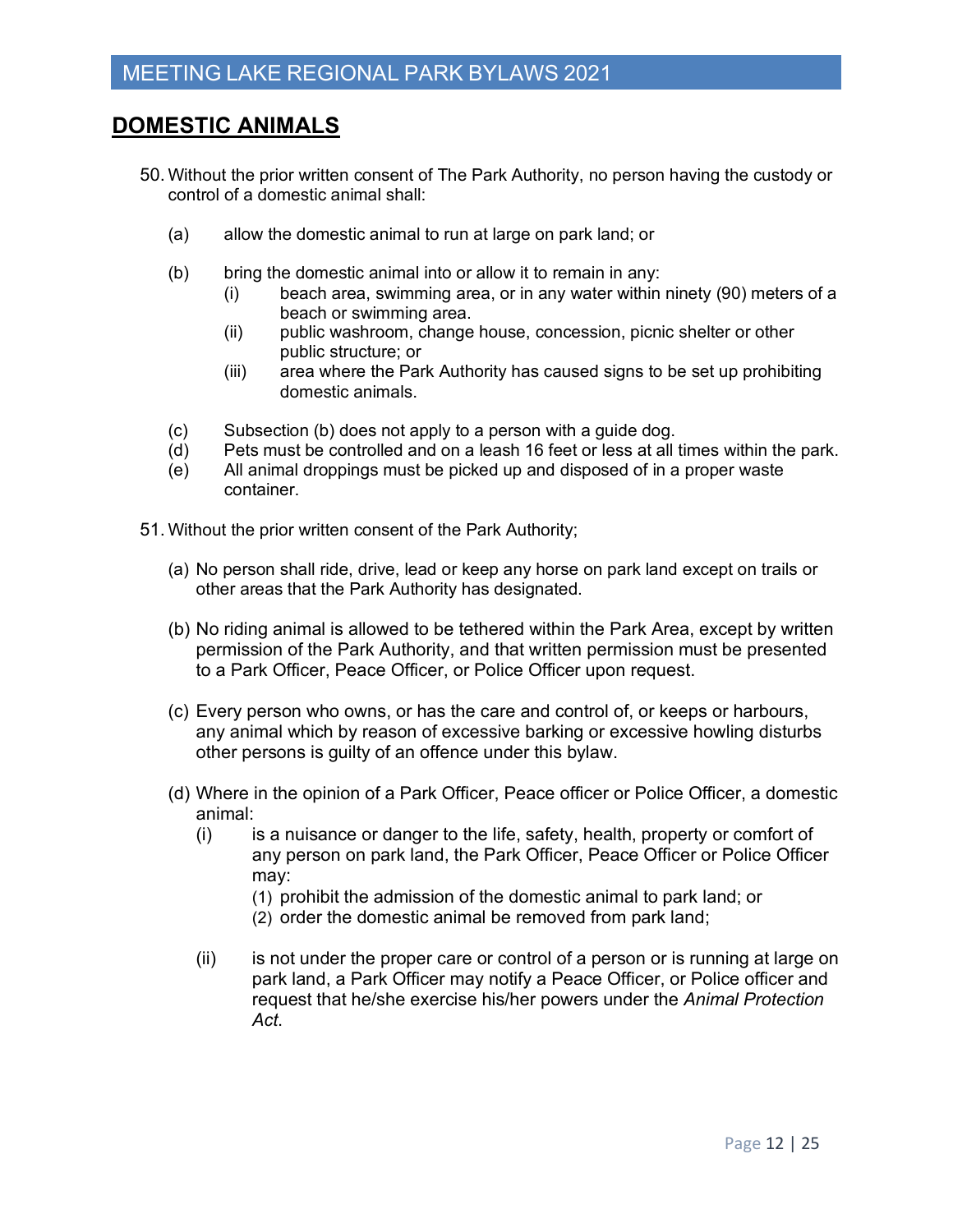## **DOMESTIC ANIMALS**

- 50. Without the prior written consent of The Park Authority, no person having the custody or control of a domestic animal shall:
	- (a) allow the domestic animal to run at large on park land; or
	- (b) bring the domestic animal into or allow it to remain in any:
		- (i) beach area, swimming area, or in any water within ninety (90) meters of a beach or swimming area.
		- (ii) public washroom, change house, concession, picnic shelter or other public structure; or
		- (iii) area where the Park Authority has caused signs to be set up prohibiting domestic animals.
	- (c) Subsection (b) does not apply to a person with a guide dog.
	- (d) Pets must be controlled and on a leash 16 feet or less at all times within the park.
	- (e) All animal droppings must be picked up and disposed of in a proper waste container.
- 51. Without the prior written consent of the Park Authority;
	- (a) No person shall ride, drive, lead or keep any horse on park land except on trails or other areas that the Park Authority has designated.
	- (b) No riding animal is allowed to be tethered within the Park Area, except by written permission of the Park Authority, and that written permission must be presented to a Park Officer, Peace Officer, or Police Officer upon request.
	- (c) Every person who owns, or has the care and control of, or keeps or harbours, any animal which by reason of excessive barking or excessive howling disturbs other persons is guilty of an offence under this bylaw.
	- (d) Where in the opinion of a Park Officer, Peace officer or Police Officer, a domestic animal:
		- (i) is a nuisance or danger to the life, safety, health, property or comfort of any person on park land, the Park Officer, Peace Officer or Police Officer may:
			- (1) prohibit the admission of the domestic animal to park land; or
			- (2) order the domestic animal be removed from park land;
		- (ii) is not under the proper care or control of a person or is running at large on park land, a Park Officer may notify a Peace Officer, or Police officer and request that he/she exercise his/her powers under the *Animal Protection Act*.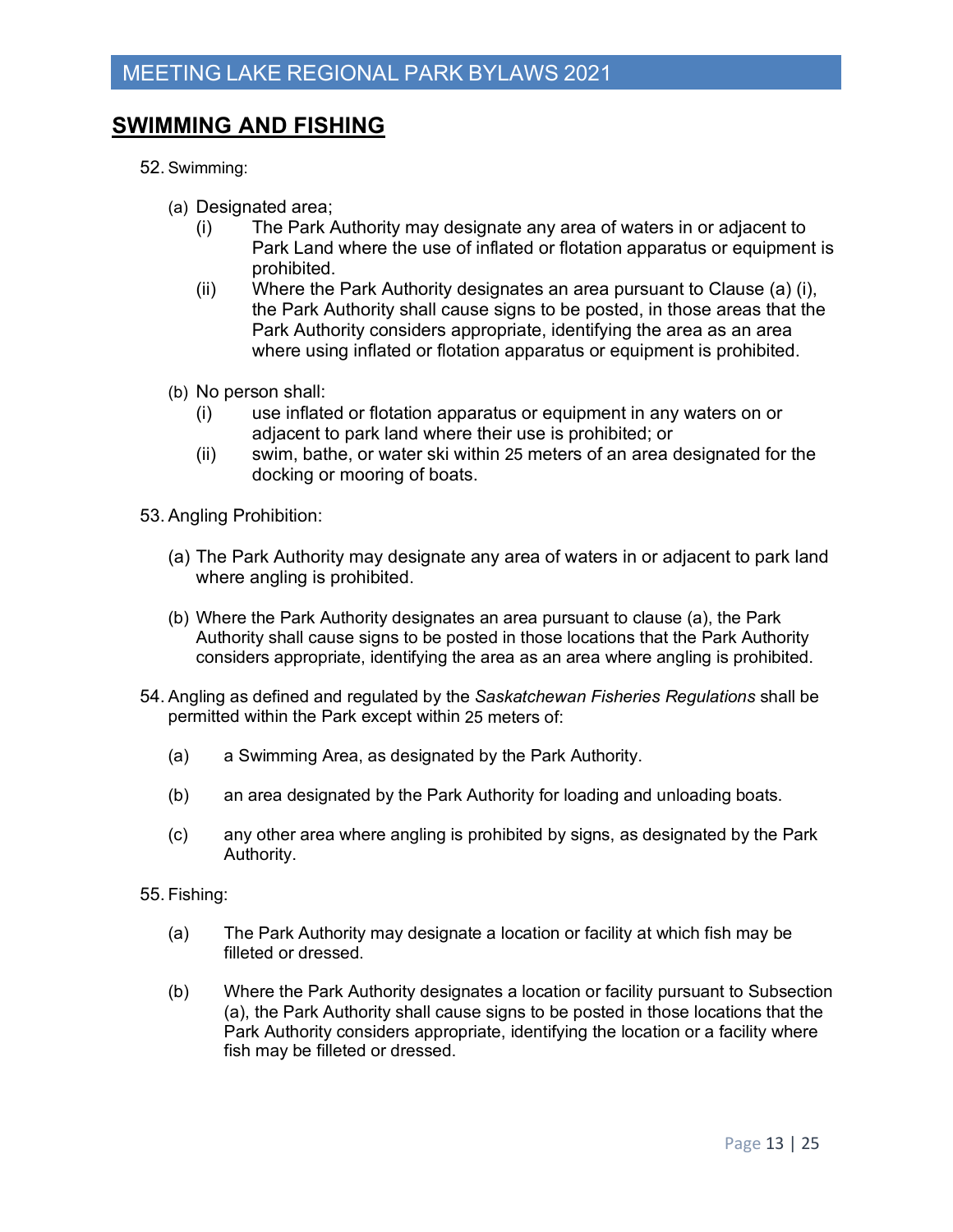## **SWIMMING AND FISHING**

- 52. Swimming:
	- (a) Designated area;
		- (i) The Park Authority may designate any area of waters in or adjacent to Park Land where the use of inflated or flotation apparatus or equipment is prohibited.
		- (ii) Where the Park Authority designates an area pursuant to Clause (a) (i), the Park Authority shall cause signs to be posted, in those areas that the Park Authority considers appropriate, identifying the area as an area where using inflated or flotation apparatus or equipment is prohibited.
	- (b) No person shall:
		- (i) use inflated or flotation apparatus or equipment in any waters on or adjacent to park land where their use is prohibited; or
		- (ii) swim, bathe, or water ski within 25 meters of an area designated for the docking or mooring of boats.
- 53.Angling Prohibition:
	- (a) The Park Authority may designate any area of waters in or adjacent to park land where angling is prohibited.
	- (b) Where the Park Authority designates an area pursuant to clause (a), the Park Authority shall cause signs to be posted in those locations that the Park Authority considers appropriate, identifying the area as an area where angling is prohibited.
- 54. Angling as defined and regulated by the *Saskatchewan Fisheries Regulations* shall be permitted within the Park except within 25 meters of:
	- (a) a Swimming Area, as designated by the Park Authority.
	- (b) an area designated by the Park Authority for loading and unloading boats.
	- (c) any other area where angling is prohibited by signs, as designated by the Park Authority.
- 55. Fishing:
	- (a) The Park Authority may designate a location or facility at which fish may be filleted or dressed.
	- (b) Where the Park Authority designates a location or facility pursuant to Subsection (a), the Park Authority shall cause signs to be posted in those locations that the Park Authority considers appropriate, identifying the location or a facility where fish may be filleted or dressed.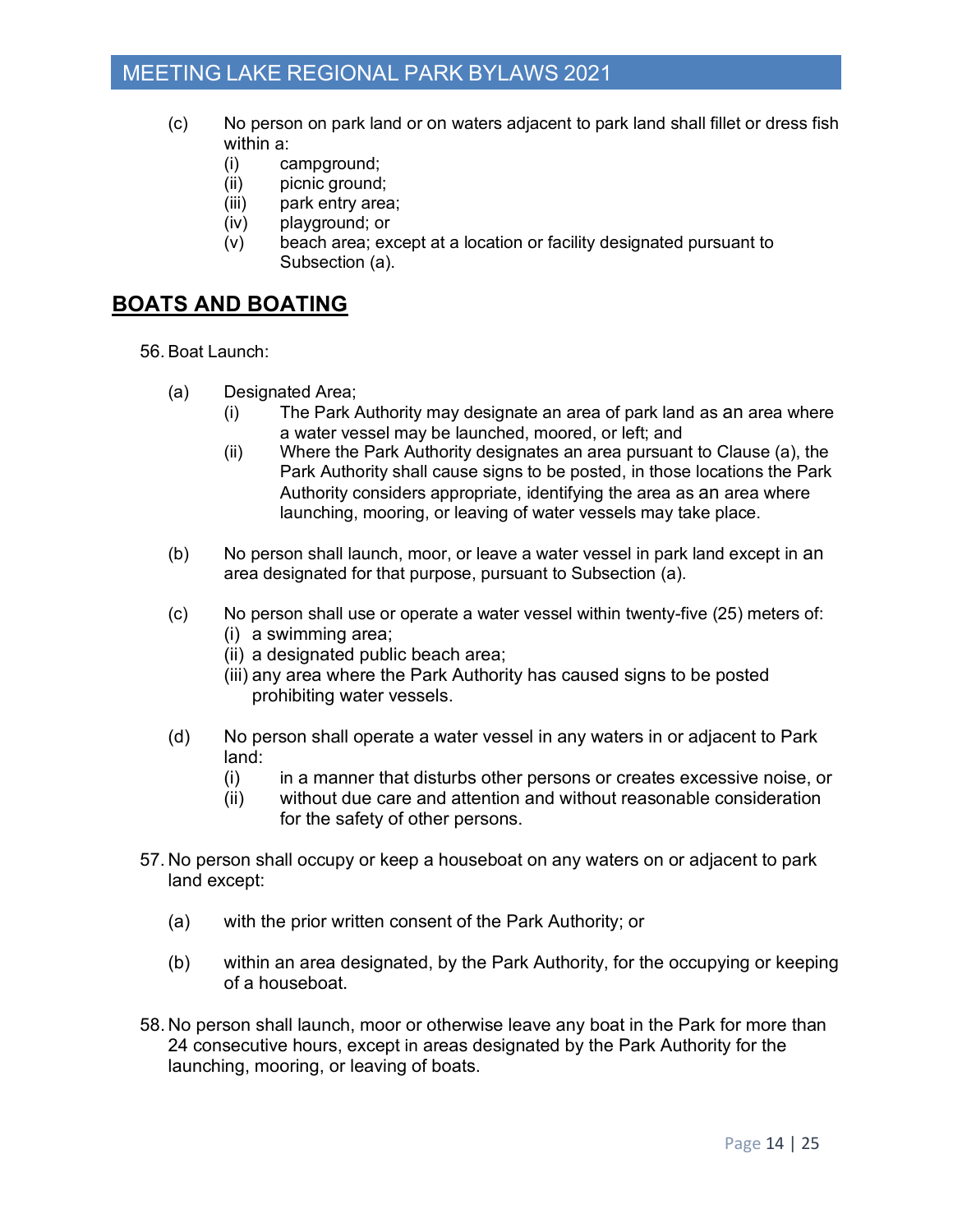- (c) No person on park land or on waters adjacent to park land shall fillet or dress fish within a:
	- (i) campground;
	- (ii) picnic ground;
	- (iii) park entry area;
	- (iv) playground; or
	- (v) beach area; except at a location or facility designated pursuant to Subsection (a).

#### **BOATS AND BOATING**

56. Boat Launch:

- (a) Designated Area;
	- (i) The Park Authority may designate an area of park land as an area where a water vessel may be launched, moored, or left; and
	- (ii) Where the Park Authority designates an area pursuant to Clause (a), the Park Authority shall cause signs to be posted, in those locations the Park Authority considers appropriate, identifying the area as an area where launching, mooring, or leaving of water vessels may take place.
- (b) No person shall launch, moor, or leave a water vessel in park land except in an area designated for that purpose, pursuant to Subsection (a).
- (c) No person shall use or operate a water vessel within twenty-five (25) meters of: (i) a swimming area;
	- (ii) a designated public beach area;
	- (iii) any area where the Park Authority has caused signs to be posted prohibiting water vessels.
- (d) No person shall operate a water vessel in any waters in or adjacent to Park land:
	- (i) in a manner that disturbs other persons or creates excessive noise, or
	- (ii) without due care and attention and without reasonable consideration for the safety of other persons.
- 57. No person shall occupy or keep a houseboat on any waters on or adjacent to park land except:
	- (a) with the prior written consent of the Park Authority; or
	- (b) within an area designated, by the Park Authority, for the occupying or keeping of a houseboat.
- 58. No person shall launch, moor or otherwise leave any boat in the Park for more than 24 consecutive hours, except in areas designated by the Park Authority for the launching, mooring, or leaving of boats.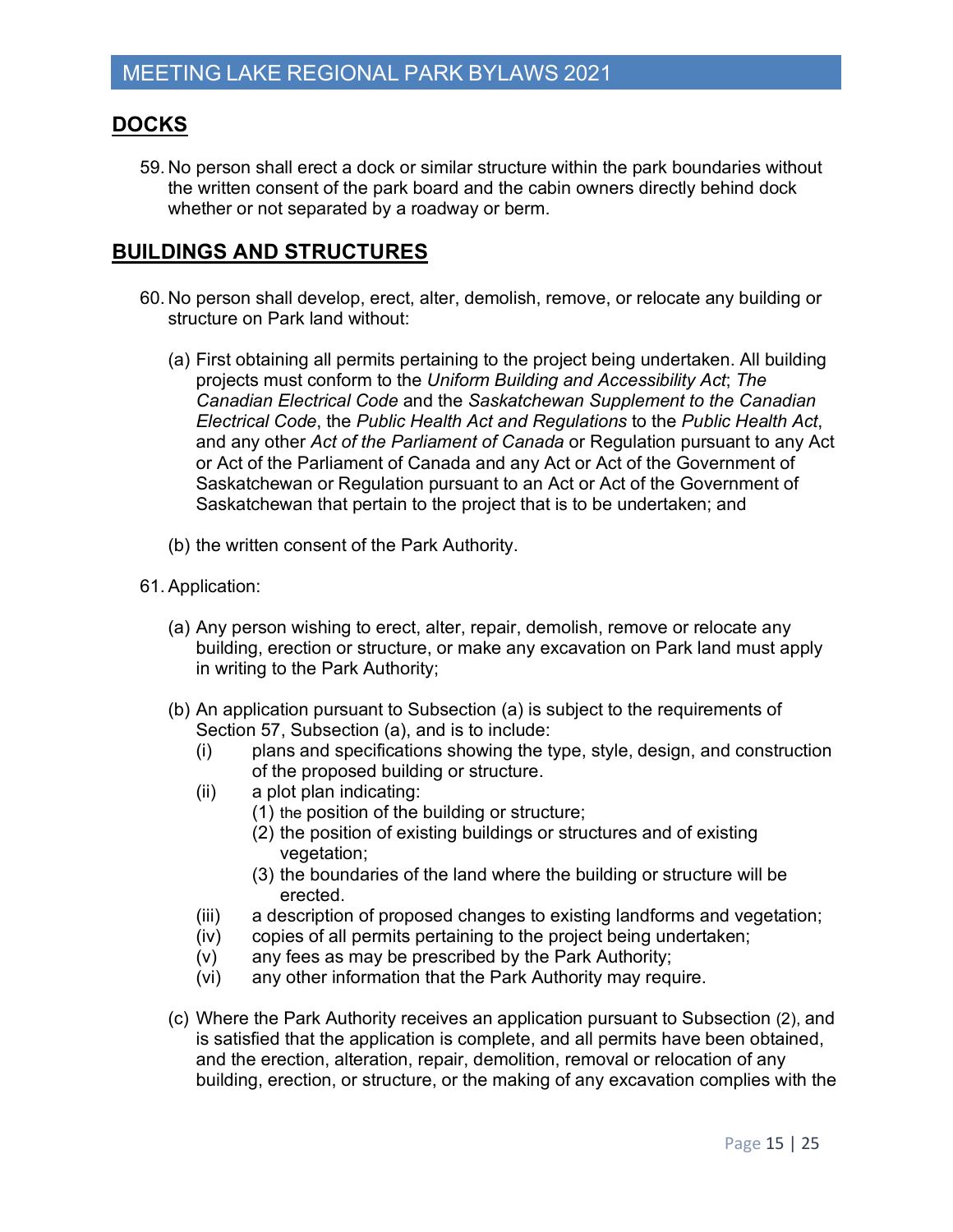#### **DOCKS**

59. No person shall erect a dock or similar structure within the park boundaries without the written consent of the park board and the cabin owners directly behind dock whether or not separated by a roadway or berm.

#### **BUILDINGS AND STRUCTURES**

- 60. No person shall develop, erect, alter, demolish, remove, or relocate any building or structure on Park land without:
	- (a) First obtaining all permits pertaining to the project being undertaken. All building projects must conform to the *Uniform Building and Accessibility Act*; *The Canadian Electrical Code* and the *Saskatchewan Supplement to the Canadian Electrical Code*, the *Public Health Act and Regulations* to the *Public Health Act*, and any other *Act of the Parliament of Canada* or Regulation pursuant to any Act or Act of the Parliament of Canada and any Act or Act of the Government of Saskatchewan or Regulation pursuant to an Act or Act of the Government of Saskatchewan that pertain to the project that is to be undertaken; and
	- (b) the written consent of the Park Authority.
- 61.Application:
	- (a) Any person wishing to erect, alter, repair, demolish, remove or relocate any building, erection or structure, or make any excavation on Park land must apply in writing to the Park Authority;
	- (b) An application pursuant to Subsection (a) is subject to the requirements of Section 57, Subsection (a), and is to include:
		- (i) plans and specifications showing the type, style, design, and construction of the proposed building or structure.
		- (ii) a plot plan indicating:
			- (1) the position of the building or structure;
				- (2) the position of existing buildings or structures and of existing vegetation;
				- (3) the boundaries of the land where the building or structure will be erected.
		- (iii) a description of proposed changes to existing landforms and vegetation;
		- (iv) copies of all permits pertaining to the project being undertaken;
		- (v) any fees as may be prescribed by the Park Authority;
		- (vi) any other information that the Park Authority may require.
	- (c) Where the Park Authority receives an application pursuant to Subsection (2), and is satisfied that the application is complete, and all permits have been obtained, and the erection, alteration, repair, demolition, removal or relocation of any building, erection, or structure, or the making of any excavation complies with the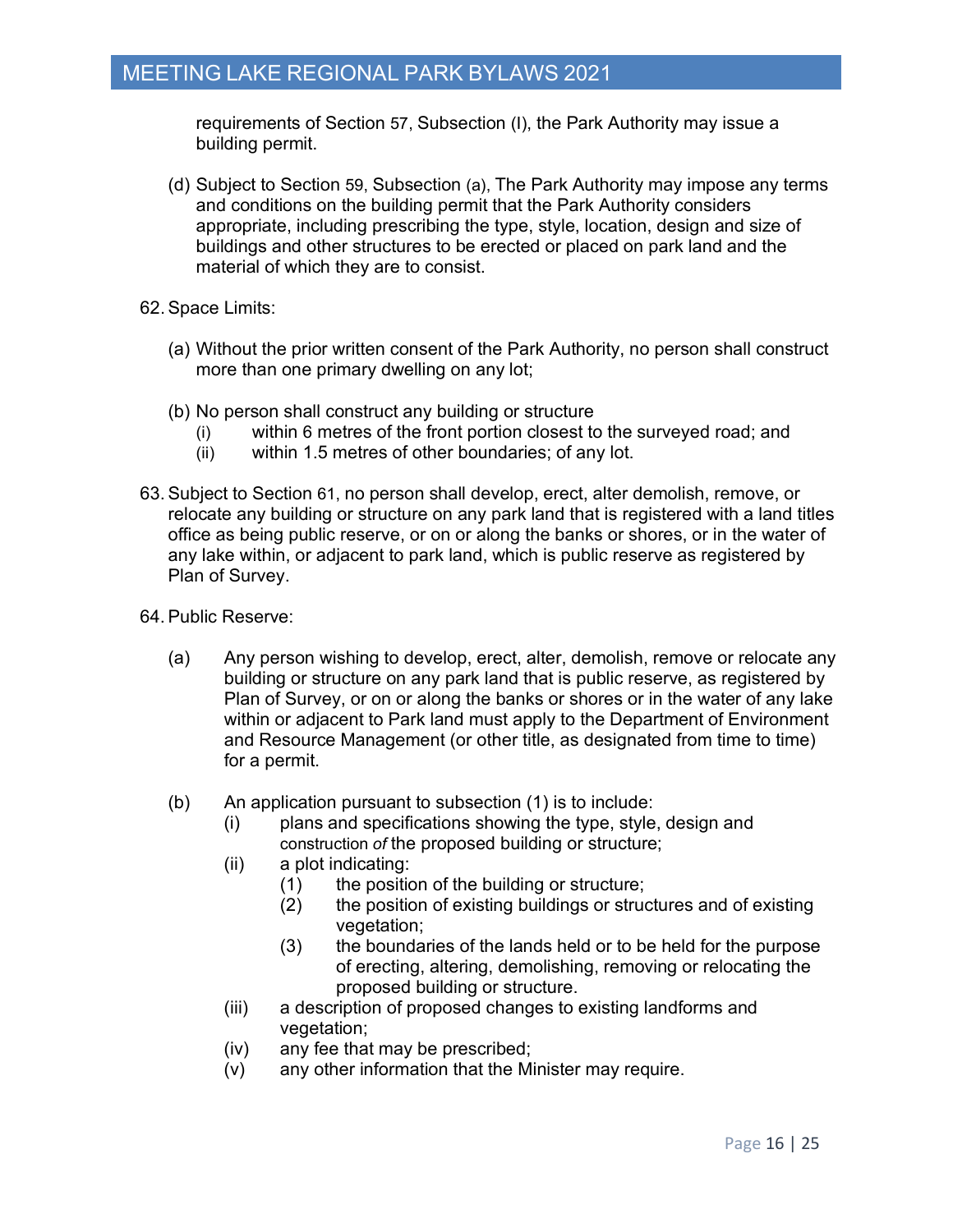requirements of Section 57, Subsection (I), the Park Authority may issue a building permit.

- (d) Subject to Section 59, Subsection (a), The Park Authority may impose any terms and conditions on the building permit that the Park Authority considers appropriate, including prescribing the type, style, location, design and size of buildings and other structures to be erected or placed on park land and the material of which they are to consist.
- 62.Space Limits:
	- (a) Without the prior written consent of the Park Authority, no person shall construct more than one primary dwelling on any lot;
	- (b) No person shall construct any building or structure
		- (i) within 6 metres of the front portion closest to the surveyed road; and
		- (ii) within 1.5 metres of other boundaries; of any lot.
- 63.Subject to Section 61, no person shall develop, erect, alter demolish, remove, or relocate any building or structure on any park land that is registered with a land titles office as being public reserve, or on or along the banks or shores, or in the water of any lake within, or adjacent to park land, which is public reserve as registered by Plan of Survey.
- 64.Public Reserve:
	- (a) Any person wishing to develop, erect, alter, demolish, remove or relocate any building or structure on any park land that is public reserve, as registered by Plan of Survey, or on or along the banks or shores or in the water of any lake within or adjacent to Park land must apply to the Department of Environment and Resource Management (or other title, as designated from time to time) for a permit.
	- (b) An application pursuant to subsection (1) is to include:
		- (i) plans and specifications showing the type, style, design and construction *of* the proposed building or structure;
		- (ii) a plot indicating:
			- (1) the position of the building or structure;
			- (2) the position of existing buildings or structures and of existing vegetation;
			- (3) the boundaries of the lands held or to be held for the purpose of erecting, altering, demolishing, removing or relocating the proposed building or structure.
		- (iii) a description of proposed changes to existing landforms and vegetation;
		- (iv) any fee that may be prescribed;
		- (v) any other information that the Minister may require.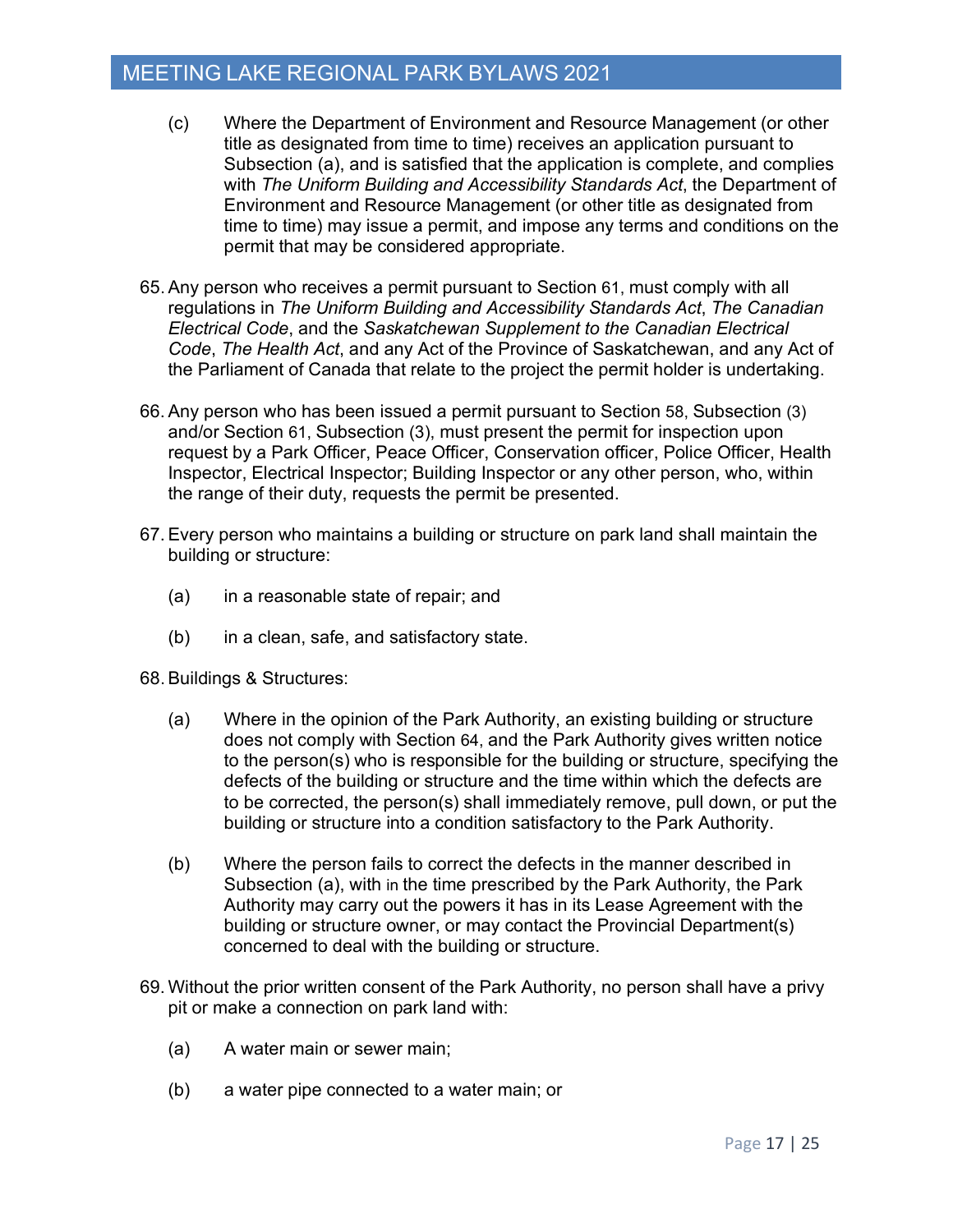- (c) Where the Department of Environment and Resource Management (or other title as designated from time to time) receives an application pursuant to Subsection (a), and is satisfied that the application is complete, and complies with *The Uniform Building and Accessibility Standards Act*, the Department of Environment and Resource Management (or other title as designated from time to time) may issue a permit, and impose any terms and conditions on the permit that may be considered appropriate.
- 65.Any person who receives a permit pursuant to Section 61, must comply with all regulations in *The Uniform Building and Accessibility Standards Act*, *The Canadian Electrical Code*, and the *Saskatchewan Supplement to the Canadian Electrical Code*, *The Health Act*, and any Act of the Province of Saskatchewan, and any Act of the Parliament of Canada that relate to the project the permit holder is undertaking.
- 66.Any person who has been issued a permit pursuant to Section 58, Subsection (3) and/or Section 61, Subsection (3), must present the permit for inspection upon request by a Park Officer, Peace Officer, Conservation officer, Police Officer, Health Inspector, Electrical Inspector; Building Inspector or any other person, who, within the range of their duty, requests the permit be presented.
- 67.Every person who maintains a building or structure on park land shall maintain the building or structure:
	- (a) in a reasonable state of repair; and
	- (b) in a clean, safe, and satisfactory state.
- 68.Buildings & Structures:
	- (a) Where in the opinion of the Park Authority, an existing building or structure does not comply with Section 64, and the Park Authority gives written notice to the person(s) who is responsible for the building or structure, specifying the defects of the building or structure and the time within which the defects are to be corrected, the person(s) shall immediately remove, pull down, or put the building or structure into a condition satisfactory to the Park Authority.
	- (b) Where the person fails to correct the defects in the manner described in Subsection (a), with in the time prescribed by the Park Authority, the Park Authority may carry out the powers it has in its Lease Agreement with the building or structure owner, or may contact the Provincial Department(s) concerned to deal with the building or structure.
- 69. Without the prior written consent of the Park Authority, no person shall have a privy pit or make a connection on park land with:
	- (a) A water main or sewer main;
	- (b) a water pipe connected to a water main; or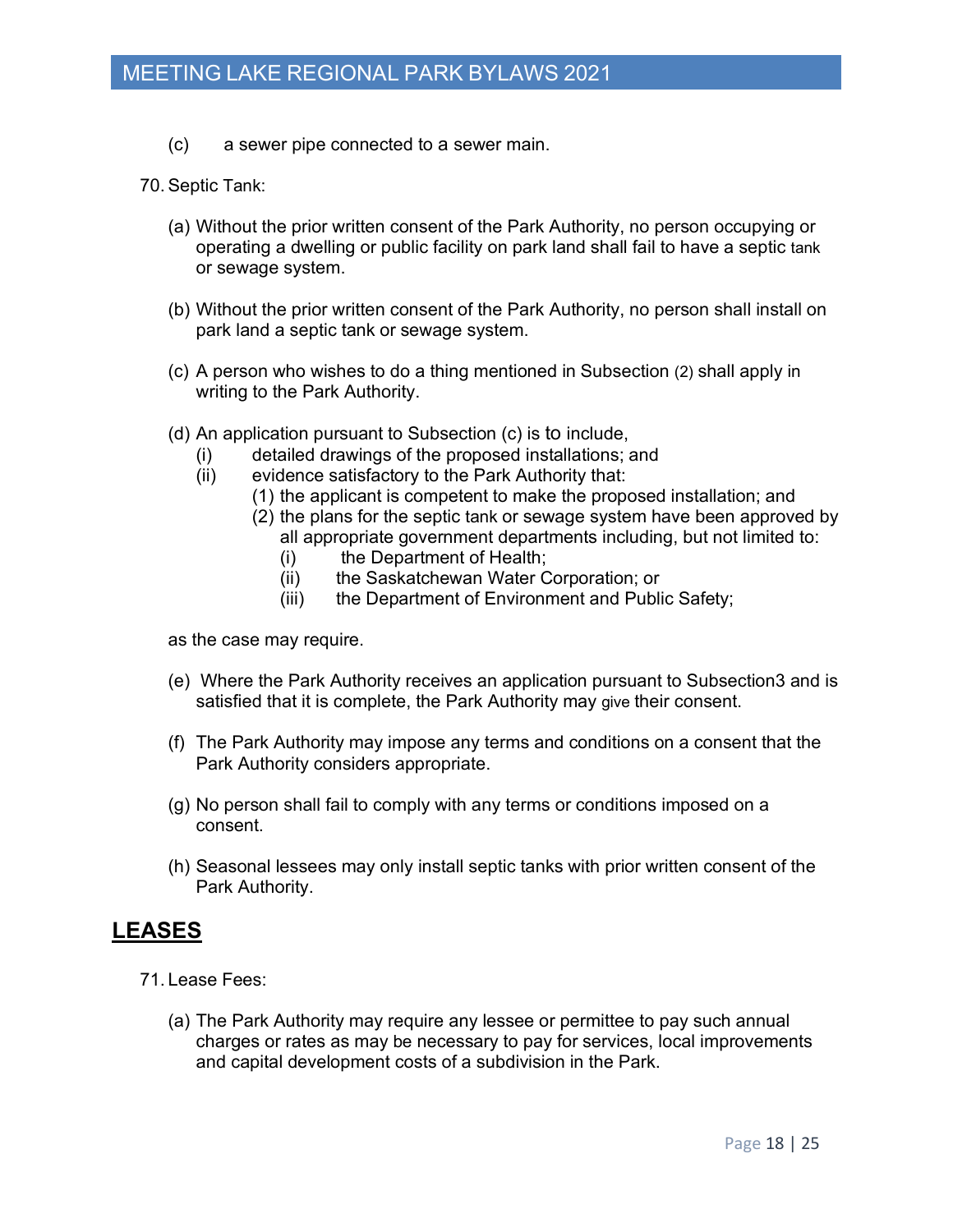- (c) a sewer pipe connected to a sewer main.
- 70. Septic Tank:
	- (a) Without the prior written consent of the Park Authority, no person occupying or operating a dwelling or public facility on park land shall fail to have a septic tank or sewage system.
	- (b) Without the prior written consent of the Park Authority, no person shall install on park land a septic tank or sewage system.
	- (c) A person who wishes to do a thing mentioned in Subsection (2) shall apply in writing to the Park Authority.
	- (d) An application pursuant to Subsection (c) is to include,
		- (i) detailed drawings of the proposed installations; and
		- (ii) evidence satisfactory to the Park Authority that:
			- (1) the applicant is competent to make the proposed installation; and
			- (2) the plans for the septic tank or sewage system have been approved by all appropriate government departments including, but not limited to:
				- (i) the Department of Health;
				- (ii) the Saskatchewan Water Corporation; or
				- (iii) the Department of Environment and Public Safety;

as the case may require.

- (e) Where the Park Authority receives an application pursuant to Subsection3 and is satisfied that it is complete, the Park Authority may give their consent.
- (f) The Park Authority may impose any terms and conditions on a consent that the Park Authority considers appropriate.
- (g) No person shall fail to comply with any terms or conditions imposed on a consent.
- (h) Seasonal lessees may only install septic tanks with prior written consent of the Park Authority.

#### **LEASES**

71. Lease Fees:

(a) The Park Authority may require any lessee or permittee to pay such annual charges or rates as may be necessary to pay for services, local improvements and capital development costs of a subdivision in the Park.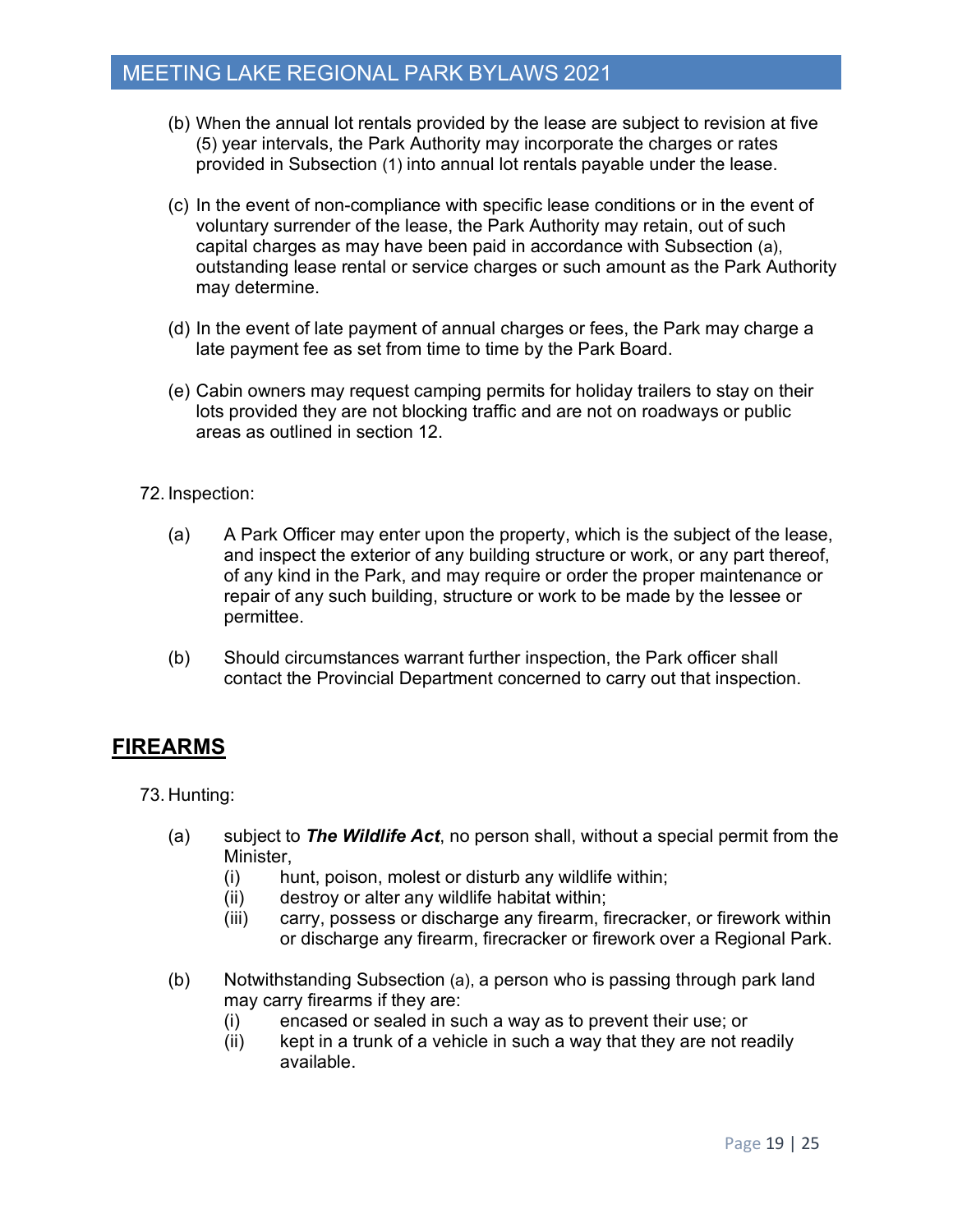- (b) When the annual lot rentals provided by the lease are subject to revision at five (5) year intervals, the Park Authority may incorporate the charges or rates provided in Subsection (1) into annual lot rentals payable under the lease.
- (c) In the event of non-compliance with specific lease conditions or in the event of voluntary surrender of the lease, the Park Authority may retain, out of such capital charges as may have been paid in accordance with Subsection (a), outstanding lease rental or service charges or such amount as the Park Authority may determine.
- (d) In the event of late payment of annual charges or fees, the Park may charge a late payment fee as set from time to time by the Park Board.
- (e) Cabin owners may request camping permits for holiday trailers to stay on their lots provided they are not blocking traffic and are not on roadways or public areas as outlined in section 12.
- 72. Inspection:
	- (a) A Park Officer may enter upon the property, which is the subject of the lease, and inspect the exterior of any building structure or work, or any part thereof, of any kind in the Park, and may require or order the proper maintenance or repair of any such building, structure or work to be made by the lessee or permittee.
	- (b) Should circumstances warrant further inspection, the Park officer shall contact the Provincial Department concerned to carry out that inspection.

## **FIREARMS**

73. Hunting:

- (a) subject to *The Wildlife Act*, no person shall, without a special permit from the Minister,
	- (i) hunt, poison, molest or disturb any wildlife within;
	- (ii) destroy or alter any wildlife habitat within;
	- (iii) carry, possess or discharge any firearm, firecracker, or firework within or discharge any firearm, firecracker or firework over a Regional Park.
- (b) Notwithstanding Subsection (a), a person who is passing through park land may carry firearms if they are:
	- (i) encased or sealed in such a way as to prevent their use; or
	- (ii) kept in a trunk of a vehicle in such a way that they are not readily available.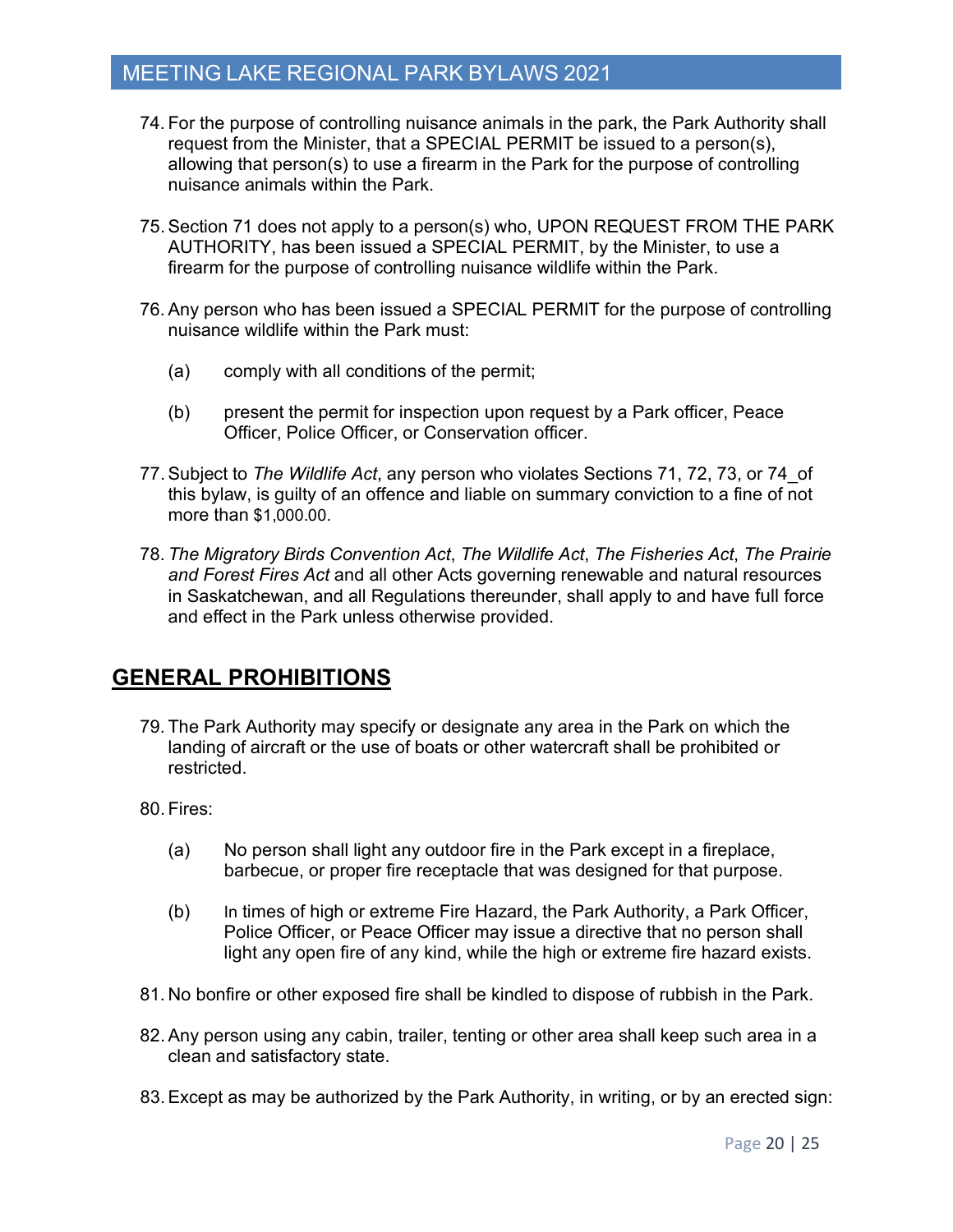- 74. For the purpose of controlling nuisance animals in the park, the Park Authority shall request from the Minister, that a SPECIAL PERMIT be issued to a person(s), allowing that person(s) to use a firearm in the Park for the purpose of controlling nuisance animals within the Park.
- 75.Section 71 does not apply to a person(s) who, UPON REQUEST FROM THE PARK AUTHORITY, has been issued a SPECIAL PERMIT, by the Minister, to use a firearm for the purpose of controlling nuisance wildlife within the Park.
- 76.Any person who has been issued a SPECIAL PERMIT for the purpose of controlling nuisance wildlife within the Park must:
	- (a) comply with all conditions of the permit;
	- (b) present the permit for inspection upon request by a Park officer, Peace Officer, Police Officer, or Conservation officer.
- 77.Subject to *The Wildlife Act*, any person who violates Sections 71, 72, 73, or 74\_of this bylaw, is guilty of an offence and liable on summary conviction to a fine of not more than \$1,000.00.
- 78. *The Migratory Birds Convention Act*, *The Wildlife Act*, *The Fisheries Act*, *The Prairie and Forest Fires Act* and all other Acts governing renewable and natural resources in Saskatchewan, and all Regulations thereunder, shall apply to and have full force and effect in the Park unless otherwise provided.

## **GENERAL PROHIBITIONS**

- 79. The Park Authority may specify or designate any area in the Park on which the landing of aircraft or the use of boats or other watercraft shall be prohibited or restricted.
- 80. Fires:
	- (a) No person shall light any outdoor fire in the Park except in a fireplace, barbecue, or proper fire receptacle that was designed for that purpose.
	- (b) In times of high or extreme Fire Hazard, the Park Authority, a Park Officer, Police Officer, or Peace Officer may issue a directive that no person shall light any open fire of any kind, while the high or extreme fire hazard exists.
- 81. No bonfire or other exposed fire shall be kindled to dispose of rubbish in the Park.
- 82.Any person using any cabin, trailer, tenting or other area shall keep such area in a clean and satisfactory state.
- 83.Except as may be authorized by the Park Authority, in writing, or by an erected sign: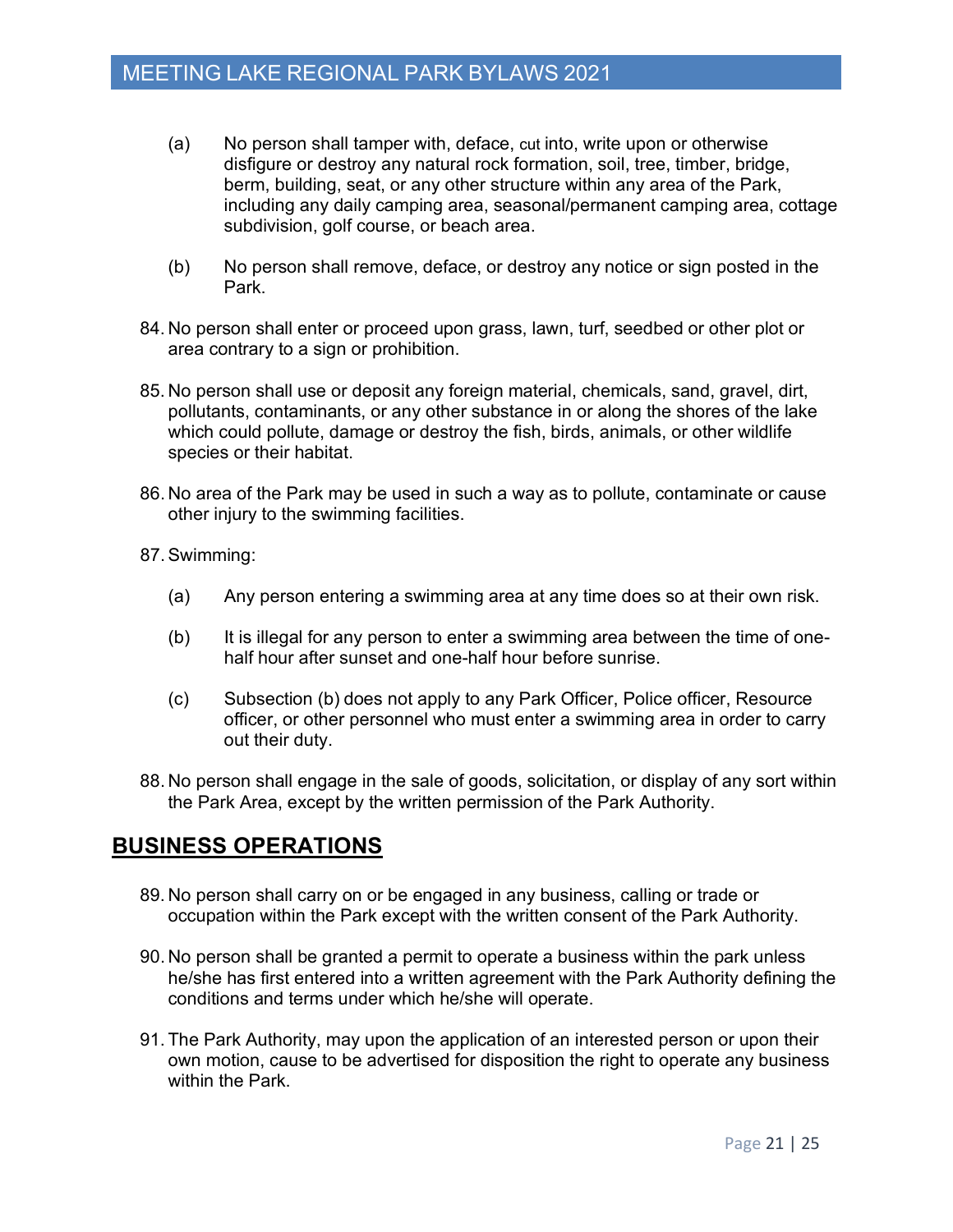- (a) No person shall tamper with, deface, cut into, write upon or otherwise disfigure or destroy any natural rock formation, soil, tree, timber, bridge, berm, building, seat, or any other structure within any area of the Park, including any daily camping area, seasonal/permanent camping area, cottage subdivision, golf course, or beach area.
- (b) No person shall remove, deface, or destroy any notice or sign posted in the Park.
- 84. No person shall enter or proceed upon grass, lawn, turf, seedbed or other plot or area contrary to a sign or prohibition.
- 85. No person shall use or deposit any foreign material, chemicals, sand, gravel, dirt, pollutants, contaminants, or any other substance in or along the shores of the lake which could pollute, damage or destroy the fish, birds, animals, or other wildlife species or their habitat.
- 86. No area of the Park may be used in such a way as to pollute, contaminate or cause other injury to the swimming facilities.
- 87. Swimming:
	- (a) Any person entering a swimming area at any time does so at their own risk.
	- (b) It is illegal for any person to enter a swimming area between the time of onehalf hour after sunset and one-half hour before sunrise.
	- (c) Subsection (b) does not apply to any Park Officer, Police officer, Resource officer, or other personnel who must enter a swimming area in order to carry out their duty.
- 88. No person shall engage in the sale of goods, solicitation, or display of any sort within the Park Area, except by the written permission of the Park Authority.

## **BUSINESS OPERATIONS**

- 89. No person shall carry on or be engaged in any business, calling or trade or occupation within the Park except with the written consent of the Park Authority.
- 90. No person shall be granted a permit to operate a business within the park unless he/she has first entered into a written agreement with the Park Authority defining the conditions and terms under which he/she will operate.
- 91. The Park Authority, may upon the application of an interested person or upon their own motion, cause to be advertised for disposition the right to operate any business within the Park.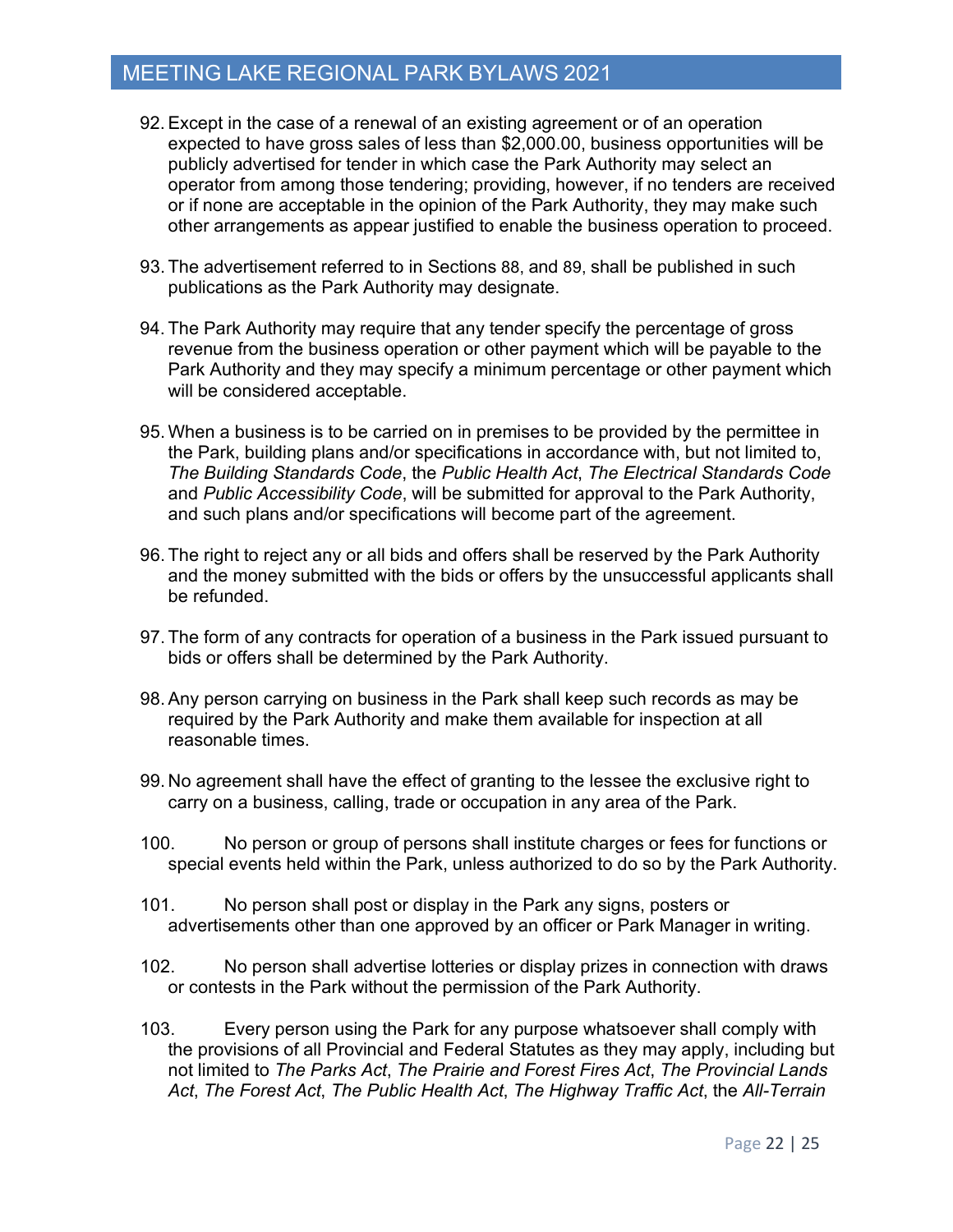- 92.Except in the case of a renewal of an existing agreement or of an operation expected to have gross sales of less than \$2,000.00, business opportunities will be publicly advertised for tender in which case the Park Authority may select an operator from among those tendering; providing, however, if no tenders are received or if none are acceptable in the opinion of the Park Authority, they may make such other arrangements as appear justified to enable the business operation to proceed.
- 93. The advertisement referred to in Sections 88, and 89, shall be published in such publications as the Park Authority may designate.
- 94. The Park Authority may require that any tender specify the percentage of gross revenue from the business operation or other payment which will be payable to the Park Authority and they may specify a minimum percentage or other payment which will be considered acceptable.
- 95. When a business is to be carried on in premises to be provided by the permittee in the Park, building plans and/or specifications in accordance with, but not limited to, *The Building Standards Code*, the *Public Health Act*, *The Electrical Standards Code* and *Public Accessibility Code*, will be submitted for approval to the Park Authority, and such plans and/or specifications will become part of the agreement.
- 96. The right to reject any or all bids and offers shall be reserved by the Park Authority and the money submitted with the bids or offers by the unsuccessful applicants shall be refunded.
- 97. The form of any contracts for operation of a business in the Park issued pursuant to bids or offers shall be determined by the Park Authority.
- 98.Any person carrying on business in the Park shall keep such records as may be required by the Park Authority and make them available for inspection at all reasonable times.
- 99. No agreement shall have the effect of granting to the lessee the exclusive right to carry on a business, calling, trade or occupation in any area of the Park.
- 100. No person or group of persons shall institute charges or fees for functions or special events held within the Park, unless authorized to do so by the Park Authority.
- 101. No person shall post or display in the Park any signs, posters or advertisements other than one approved by an officer or Park Manager in writing.
- 102. No person shall advertise lotteries or display prizes in connection with draws or contests in the Park without the permission of the Park Authority.
- 103. Every person using the Park for any purpose whatsoever shall comply with the provisions of all Provincial and Federal Statutes as they may apply, including but not limited to *The Parks Act*, *The Prairie and Forest Fires Act*, *The Provincial Lands Act*, *The Forest Act*, *The Public Health Act*, *The Highway Traffic Act*, the *All-Terrain*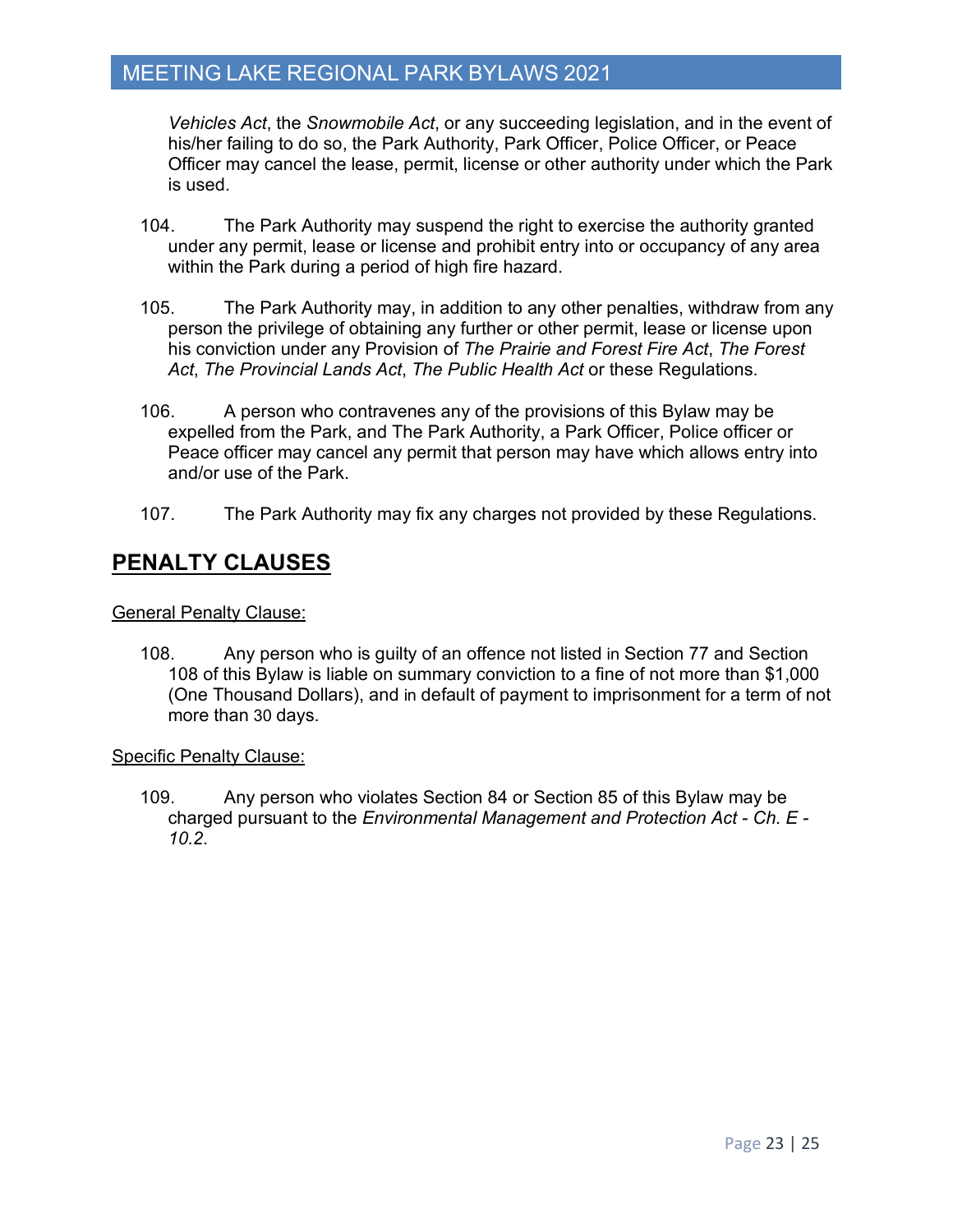*Vehicles Act*, the *Snowmobile Act*, or any succeeding legislation, and in the event of his/her failing to do so, the Park Authority, Park Officer, Police Officer, or Peace Officer may cancel the lease, permit, license or other authority under which the Park is used.

- 104. The Park Authority may suspend the right to exercise the authority granted under any permit, lease or license and prohibit entry into or occupancy of any area within the Park during a period of high fire hazard.
- 105. The Park Authority may, in addition to any other penalties, withdraw from any person the privilege of obtaining any further or other permit, lease or license upon his conviction under any Provision of *The Prairie and Forest Fire Act*, *The Forest Act*, *The Provincial Lands Act*, *The Public Health Act* or these Regulations.
- 106. A person who contravenes any of the provisions of this Bylaw may be expelled from the Park, and The Park Authority, a Park Officer, Police officer or Peace officer may cancel any permit that person may have which allows entry into and/or use of the Park.
- 107. The Park Authority may fix any charges not provided by these Regulations.

## **PENALTY CLAUSES**

#### General Penalty Clause:

108. Any person who is guilty of an offence not listed in Section 77 and Section 108 of this Bylaw is liable on summary conviction to a fine of not more than \$1,000 (One Thousand Dollars), and in default of payment to imprisonment for a term of not more than 30 days.

#### Specific Penalty Clause:

109. Any person who violates Section 84 or Section 85 of this Bylaw may be charged pursuant to the *Environmental Management and Protection Act - Ch. E - 10.2*.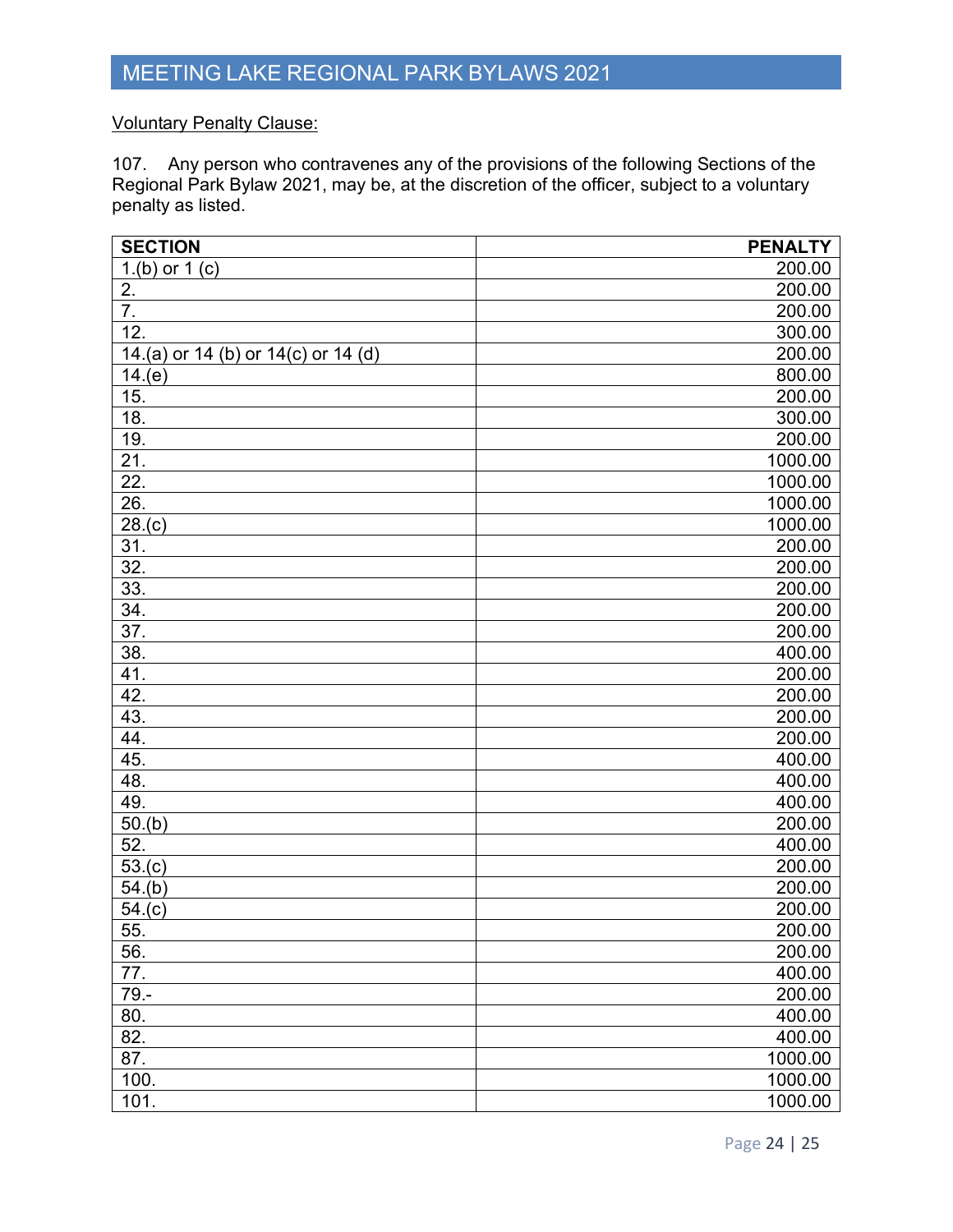#### Voluntary Penalty Clause:

107. Any person who contravenes any of the provisions of the following Sections of the Regional Park Bylaw 2021, may be, at the discretion of the officer, subject to a voluntary penalty as listed.

| <b>SECTION</b>                      | <b>PENALTY</b> |
|-------------------------------------|----------------|
| 1.(b) or $1(c)$                     | 200.00         |
| 2.                                  | 200.00         |
| $\overline{7}$ .                    | 200.00         |
| 12.                                 | 300.00         |
| 14.(a) or 14 (b) or 14(c) or 14 (d) | 200.00         |
| 14.(e)                              | 800.00         |
| 15.                                 | 200.00         |
| 18.                                 | 300.00         |
| 19.                                 | 200.00         |
| 21.                                 | 1000.00        |
| 22.                                 | 1000.00        |
| 26.                                 | 1000.00        |
| 28.(c)                              | 1000.00        |
| 31.                                 | 200.00         |
| 32.                                 | 200.00         |
| 33.                                 | 200.00         |
| 34.                                 | 200.00         |
| 37.                                 | 200.00         |
| 38.                                 | 400.00         |
| 41.                                 | 200.00         |
| 42.                                 | 200.00         |
| 43.                                 | 200.00         |
| 44.                                 | 200.00         |
| 45.                                 | 400.00         |
| 48.                                 | 400.00         |
| 49.                                 | 400.00         |
| 50.(b)                              | 200.00         |
| 52.                                 | 400.00         |
| 53.(c)                              | 200.00         |
| 54.(b)                              | 200.00         |
| 54.(c)                              | 200.00         |
| 55.                                 | 200.00         |
| 56.                                 | 200.00         |
| 77.                                 | 400.00         |
| $79. -$                             | 200.00         |
| 80.                                 | 400.00         |
| 82.                                 | 400.00         |
| 87.                                 | 1000.00        |
| 100.                                | 1000.00        |
| 101.                                | 1000.00        |